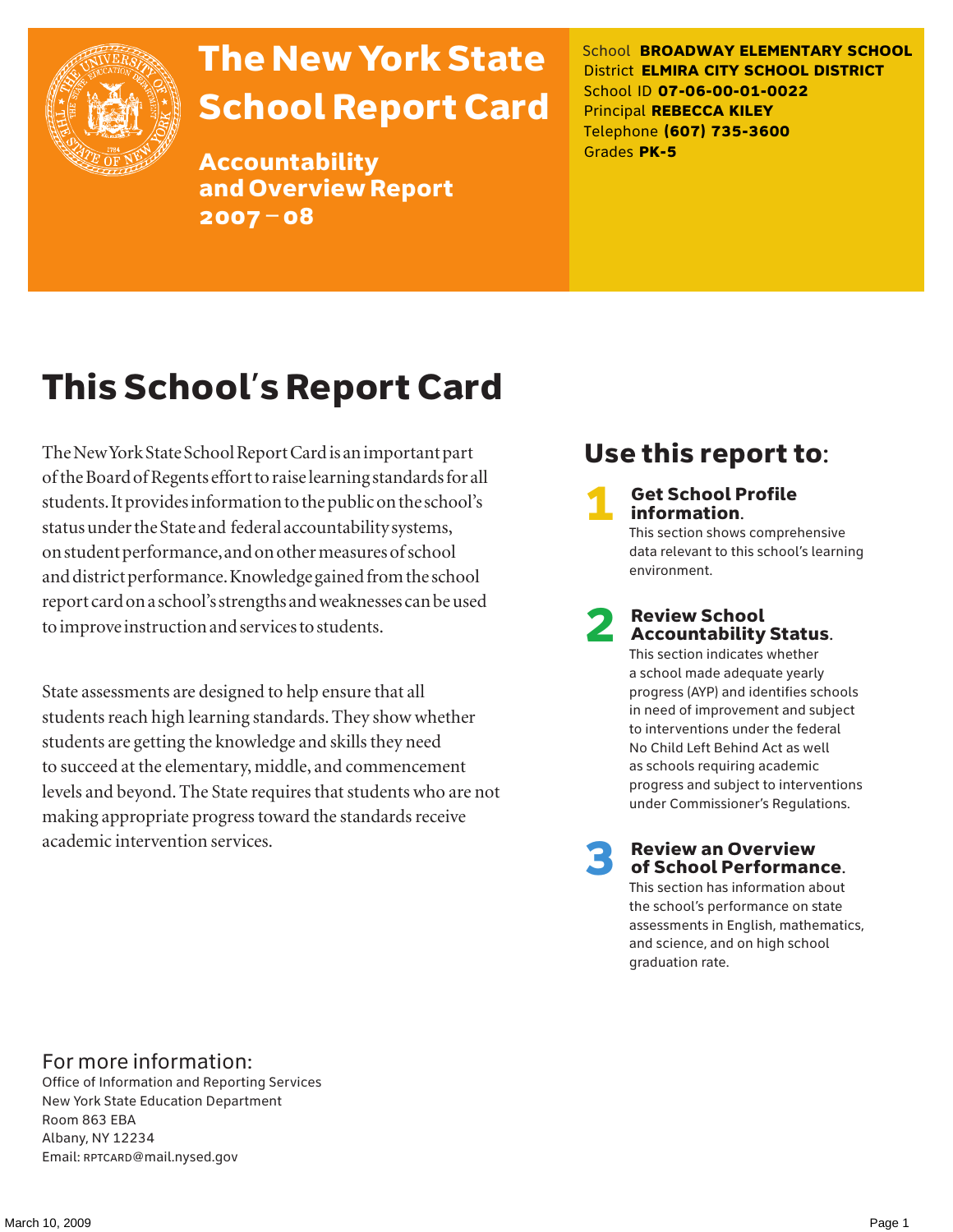

# The New York State School Report Card

Accountability and Overview Report 2007–08

School **BROADWAY ELEMENTARY SCHOOL** District **ELMIRA CITY SCHOOL DISTRICT** School ID **07-06-00-01-0022** Principal **REBECCA KILEY** Telephone **(607) 735-3600** Grades **PK-5**

# This School's Report Card

The New York State School Report Card is an important part of the Board of Regents effort to raise learning standards for all students. It provides information to the public on the school's status under the State and federal accountability systems, on student performance, and on other measures of school and district performance. Knowledge gained from the school report card on a school's strengths and weaknesses can be used to improve instruction and services to students.

State assessments are designed to help ensure that all students reach high learning standards. They show whether students are getting the knowledge and skills they need to succeed at the elementary, middle, and commencement levels and beyond. The State requires that students who are not making appropriate progress toward the standards receive academic intervention services.

### Use this report to:

**Get School Profile** information.

This section shows comprehensive data relevant to this school's learning environment.

# 2 Review School Accountability Status.

This section indicates whether a school made adequate yearly progress (AYP) and identifies schools in need of improvement and subject to interventions under the federal No Child Left Behind Act as well as schools requiring academic progress and subject to interventions under Commissioner's Regulations.

**Review an Overview** of School Performance.

This section has information about the school's performance on state assessments in English, mathematics, and science, and on high school graduation rate.

#### For more information:

Office of Information and Reporting Services New York State Education Department Room 863 EBA Albany, NY 12234 Email: RPTCARD@mail.nysed.gov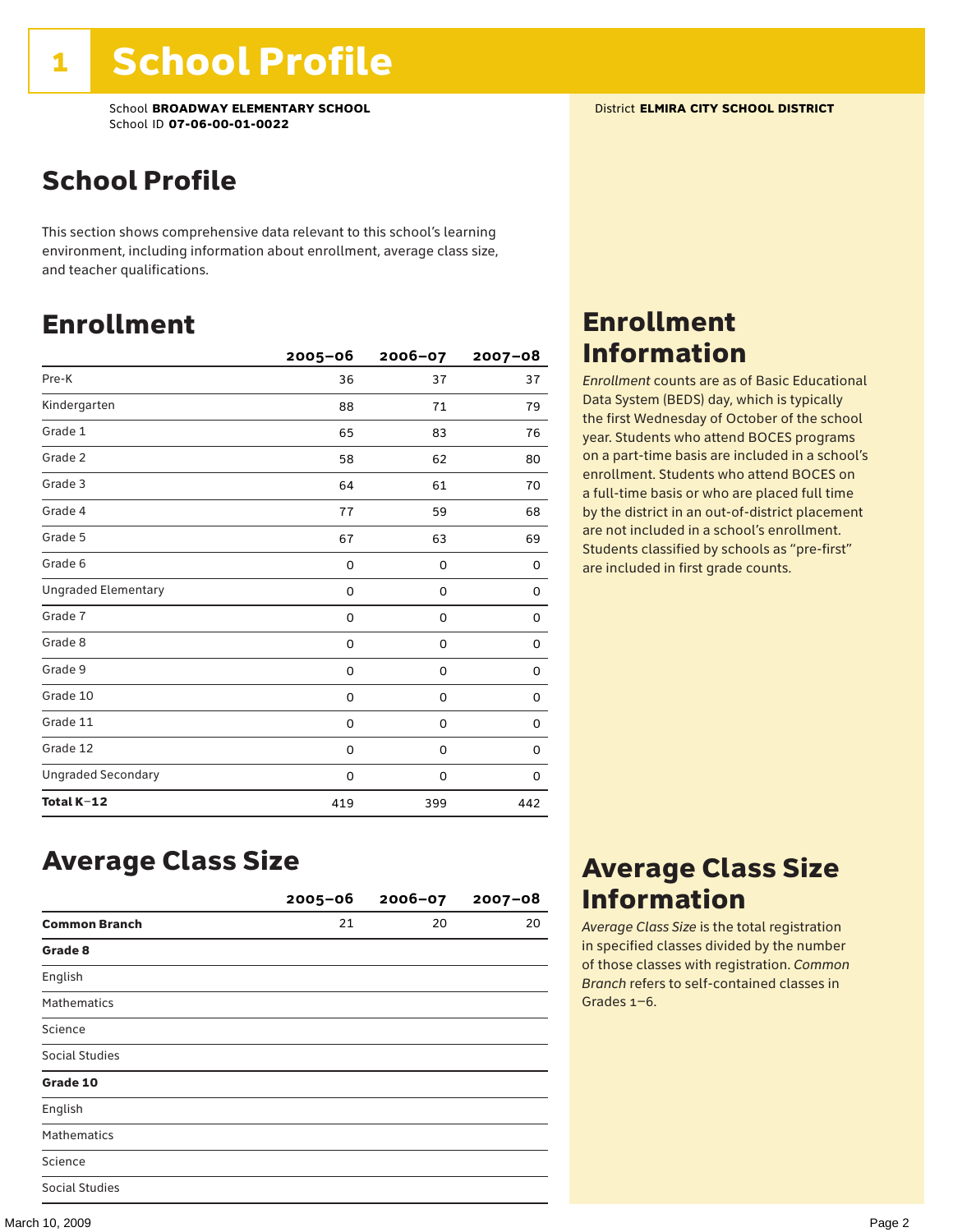### School Profile

This section shows comprehensive data relevant to this school's learning environment, including information about enrollment, average class size, and teacher qualifications.

### Enrollment

|                            | $2005 - 06$ | 2006-07     | $2007 - 08$ |
|----------------------------|-------------|-------------|-------------|
| Pre-K                      | 36          | 37          | 37          |
| Kindergarten               | 88          | 71          | 79          |
| Grade 1                    | 65          | 83          | 76          |
| Grade 2                    | 58          | 62          | 80          |
| Grade 3                    | 64          | 61          | 70          |
| Grade 4                    | 77          | 59          | 68          |
| Grade 5                    | 67          | 63          | 69          |
| Grade 6                    | 0           | 0           | 0           |
| <b>Ungraded Elementary</b> | 0           | 0           | 0           |
| Grade 7                    | 0           | $\mathbf 0$ | 0           |
| Grade 8                    | 0           | 0           | 0           |
| Grade 9                    | 0           | 0           | 0           |
| Grade 10                   | 0           | 0           | 0           |
| Grade 11                   | 0           | 0           | 0           |
| Grade 12                   | 0           | 0           | 0           |
| <b>Ungraded Secondary</b>  | 0           | 0           | 0           |
| Total K-12                 | 419         | 399         | 442         |

# Enrollment

Information

*Enrollment* counts are as of Basic Educational Data System (BEDS) day, which is typically the first Wednesday of October of the school year. Students who attend BOCES programs on a part-time basis are included in a school's enrollment. Students who attend BOCES on a full-time basis or who are placed full time by the district in an out-of-district placement are not included in a school's enrollment. Students classified by schools as "pre-first" are included in first grade counts.

### Average Class Size

|                       | $2005 - 06$ | $2006 - 07$ | $2007 - 08$ |
|-----------------------|-------------|-------------|-------------|
| <b>Common Branch</b>  | 21          | 20          | 20          |
| Grade 8               |             |             |             |
| English               |             |             |             |
| <b>Mathematics</b>    |             |             |             |
| Science               |             |             |             |
| <b>Social Studies</b> |             |             |             |
| Grade 10              |             |             |             |
| English               |             |             |             |
| <b>Mathematics</b>    |             |             |             |
| Science               |             |             |             |
| <b>Social Studies</b> |             |             |             |

### Average Class Size Information

*Average Class Size* is the total registration in specified classes divided by the number of those classes with registration. *Common Branch* refers to self-contained classes in Grades 1–6.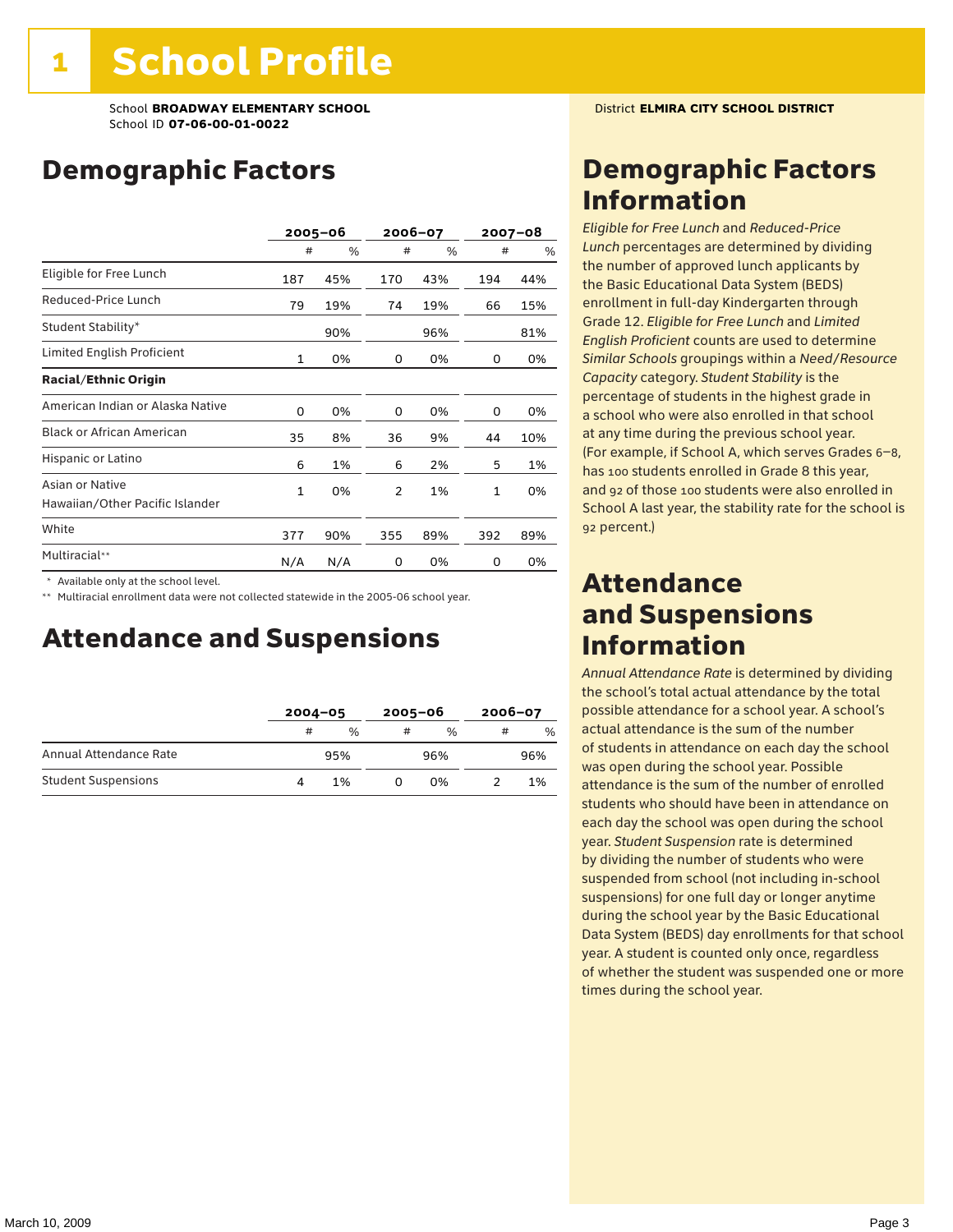### Demographic Factors

|                                                    |              | $2005 - 06$ |     | 2006-07 |     | $2007 - 08$ |
|----------------------------------------------------|--------------|-------------|-----|---------|-----|-------------|
|                                                    | #            | %           | #   | %       | #   | %           |
| Eligible for Free Lunch                            | 187          | 45%         | 170 | 43%     | 194 | 44%         |
| Reduced-Price Lunch                                | 79           | 19%         | 74  | 19%     | 66  | 15%         |
| Student Stability*                                 |              | 90%         |     | 96%     |     | 81%         |
| Limited English Proficient                         | $\mathbf{1}$ | 0%          | 0   | 0%      | 0   | 0%          |
| <b>Racial/Ethnic Origin</b>                        |              |             |     |         |     |             |
| American Indian or Alaska Native                   | 0            | 0%          | 0   | 0%      | 0   | 0%          |
| <b>Black or African American</b>                   | 35           | 8%          | 36  | 9%      | 44  | 10%         |
| Hispanic or Latino                                 | 6            | 1%          | 6   | 2%      | 5   | 1%          |
| Asian or Native<br>Hawaiian/Other Pacific Islander | $\mathbf{1}$ | 0%          | 2   | 1%      | 1   | 0%          |
| White                                              | 377          | 90%         | 355 | 89%     | 392 | 89%         |
| Multiracial**                                      | N/A          | N/A         | 0   | 0%      | 0   | 0%          |

\* Available only at the school level.

\*\* Multiracial enrollment data were not collected statewide in the 2005-06 school year.

### Attendance and Suspensions

|                            |   | $2004 - 05$   |   | $2005 - 06$   |   | $2006 - 07$   |  |
|----------------------------|---|---------------|---|---------------|---|---------------|--|
|                            | # | $\frac{0}{6}$ | # | $\frac{0}{6}$ | # | $\frac{0}{0}$ |  |
| Annual Attendance Rate     |   | 95%           |   | 96%           |   | 96%           |  |
| <b>Student Suspensions</b> |   | 1%            |   | በ%            |   | 1%            |  |

### Demographic Factors Information

*Eligible for Free Lunch* and *Reduced*-*Price Lunch* percentages are determined by dividing the number of approved lunch applicants by the Basic Educational Data System (BEDS) enrollment in full-day Kindergarten through Grade 12. *Eligible for Free Lunch* and *Limited English Proficient* counts are used to determine *Similar Schools* groupings within a *Need*/*Resource Capacity* category. *Student Stability* is the percentage of students in the highest grade in a school who were also enrolled in that school at any time during the previous school year. (For example, if School A, which serves Grades 6–8, has 100 students enrolled in Grade 8 this year, and 92 of those 100 students were also enrolled in School A last year, the stability rate for the school is 92 percent.)

### Attendance and Suspensions Information

*Annual Attendance Rate* is determined by dividing the school's total actual attendance by the total possible attendance for a school year. A school's actual attendance is the sum of the number of students in attendance on each day the school was open during the school year. Possible attendance is the sum of the number of enrolled students who should have been in attendance on each day the school was open during the school year. *Student Suspension* rate is determined by dividing the number of students who were suspended from school (not including in-school suspensions) for one full day or longer anytime during the school year by the Basic Educational Data System (BEDS) day enrollments for that school year. A student is counted only once, regardless of whether the student was suspended one or more times during the school year.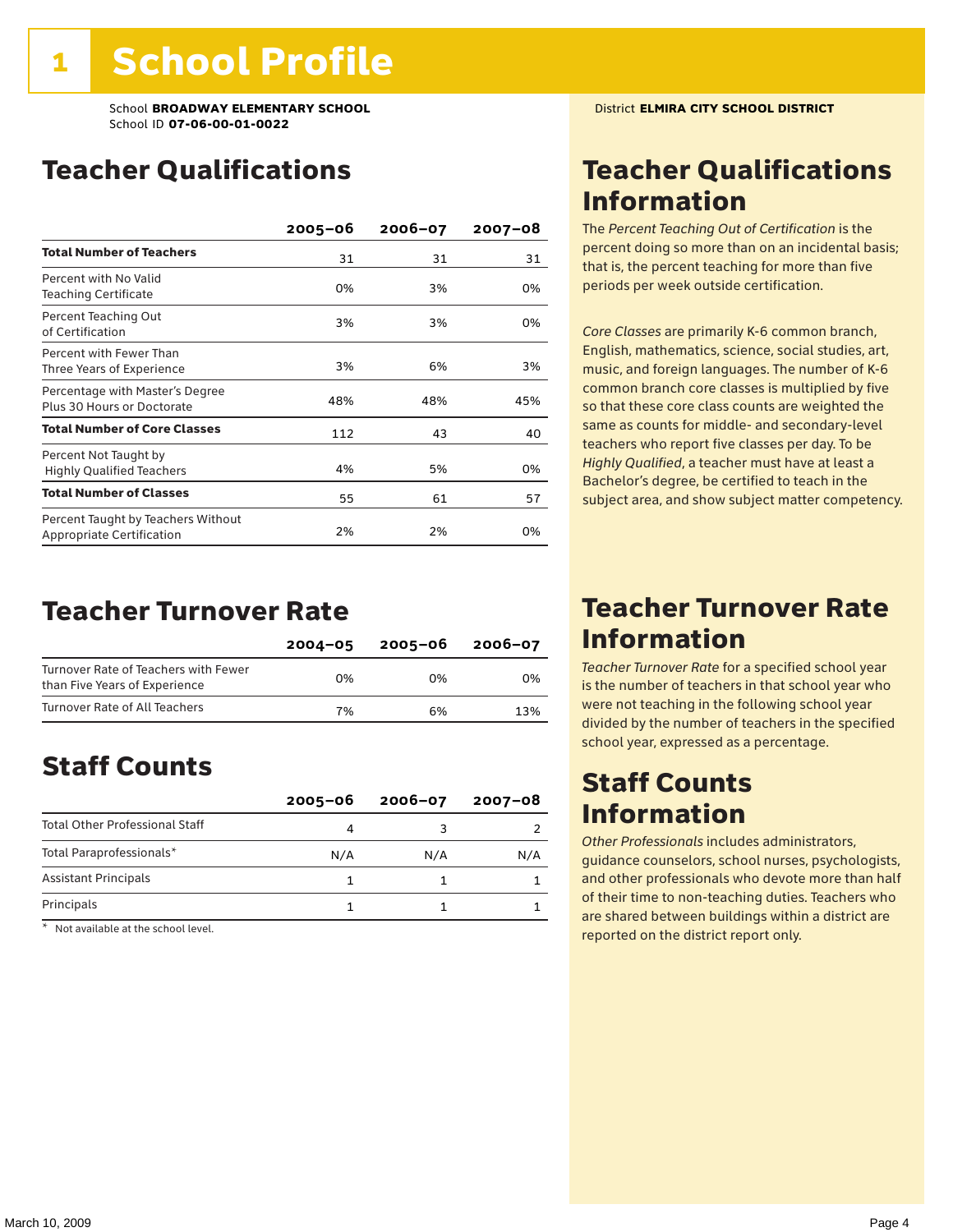### Teacher Qualifications

|                                                                        | $2005 - 06$ | $2006 - 07$ | 2007-08 |
|------------------------------------------------------------------------|-------------|-------------|---------|
| <b>Total Number of Teachers</b>                                        | 31          | 31          | 31      |
| Percent with No Valid<br><b>Teaching Certificate</b>                   | 0%          | 3%          | 0%      |
| Percent Teaching Out<br>of Certification                               | 3%          | 3%          | 0%      |
| Percent with Fewer Than<br>Three Years of Experience                   | 3%          | 6%          | 3%      |
| Percentage with Master's Degree<br>Plus 30 Hours or Doctorate          | 48%         | 48%         | 45%     |
| <b>Total Number of Core Classes</b>                                    | 112         | 43          | 40      |
| Percent Not Taught by<br><b>Highly Qualified Teachers</b>              | 4%          | 5%          | 0%      |
| <b>Total Number of Classes</b>                                         | 55          | 61          | 57      |
| Percent Taught by Teachers Without<br><b>Appropriate Certification</b> | 2%          | 2%          | 0%      |

### Teacher Turnover Rate

|                                                                       | $2004 - 05$ | 2005-06 | 2006-07 |
|-----------------------------------------------------------------------|-------------|---------|---------|
| Turnover Rate of Teachers with Fewer<br>than Five Years of Experience | በ%          | በ%      | በ%      |
| Turnover Rate of All Teachers                                         | 7%          | 6%      | 13%     |

### Staff Counts

|                                       | $2005 - 06$ | $2006 - 07$ | $2007 - 08$ |
|---------------------------------------|-------------|-------------|-------------|
| <b>Total Other Professional Staff</b> |             |             |             |
| Total Paraprofessionals*              | N/A         | N/A         | N/A         |
| <b>Assistant Principals</b>           |             |             |             |
| Principals                            |             |             |             |

\* Not available at the school level.

### Teacher Qualifications Information

The *Percent Teaching Out of Certification* is the percent doing so more than on an incidental basis; that is, the percent teaching for more than five periods per week outside certification.

*Core Classes* are primarily K-6 common branch, English, mathematics, science, social studies, art, music, and foreign languages. The number of K-6 common branch core classes is multiplied by five so that these core class counts are weighted the same as counts for middle- and secondary-level teachers who report five classes per day. To be *Highly Qualified*, a teacher must have at least a Bachelor's degree, be certified to teach in the subject area, and show subject matter competency.

### Teacher Turnover Rate Information

*Teacher Turnover Rate* for a specified school year is the number of teachers in that school year who were not teaching in the following school year divided by the number of teachers in the specified school year, expressed as a percentage.

### Staff Counts Information

*Other Professionals* includes administrators, guidance counselors, school nurses, psychologists, and other professionals who devote more than half of their time to non-teaching duties. Teachers who are shared between buildings within a district are reported on the district report only.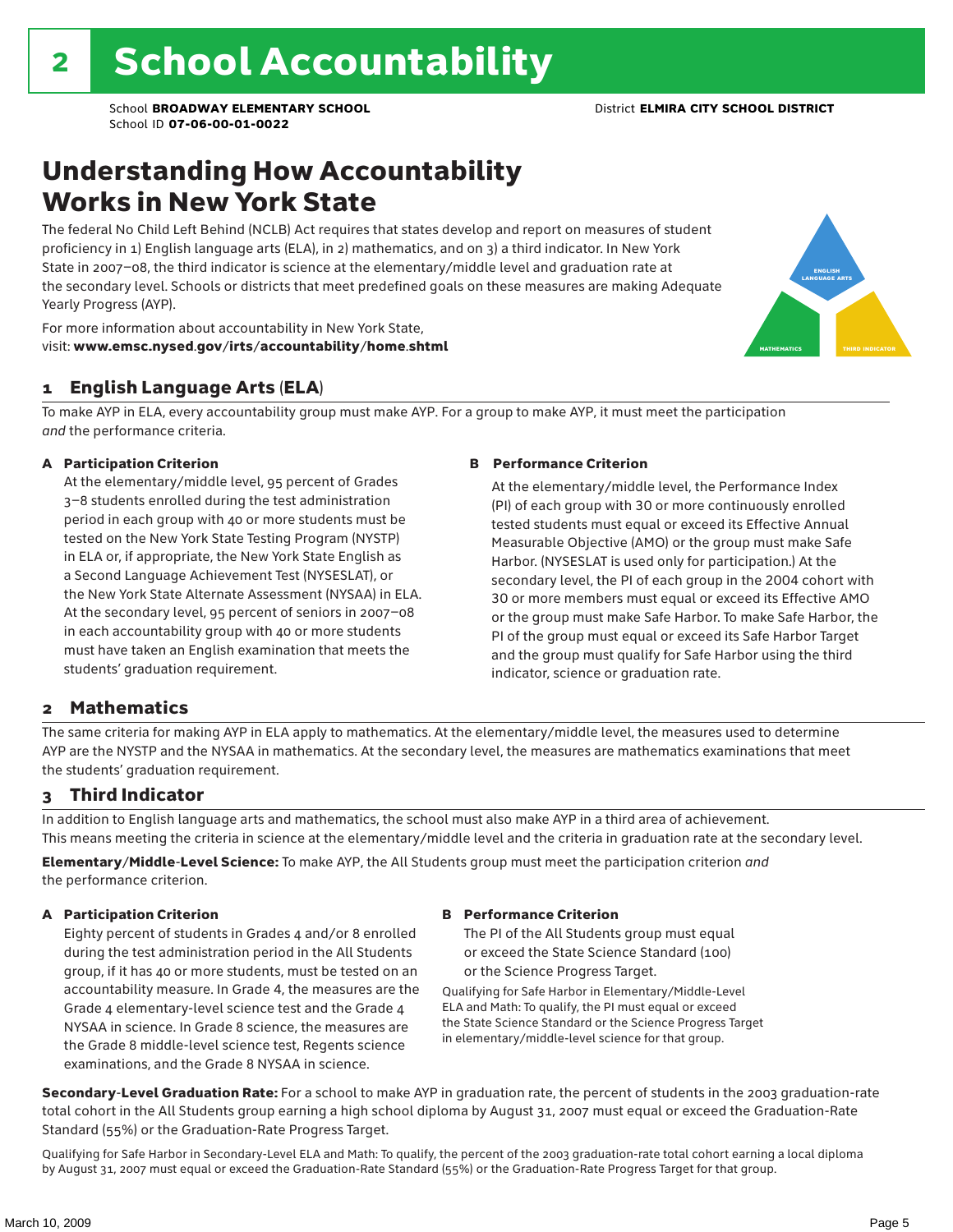### Understanding How Accountability Works in New York State

The federal No Child Left Behind (NCLB) Act requires that states develop and report on measures of student proficiency in 1) English language arts (ELA), in 2) mathematics, and on 3) a third indicator. In New York State in 2007–08, the third indicator is science at the elementary/middle level and graduation rate at the secondary level. Schools or districts that meet predefined goals on these measures are making Adequate Yearly Progress (AYP).



For more information about accountability in New York State, visit: www.emsc.nysed.gov/irts/accountability/home.shtml

#### 1 English Language Arts (ELA)

To make AYP in ELA, every accountability group must make AYP. For a group to make AYP, it must meet the participation *and* the performance criteria.

#### A Participation Criterion

At the elementary/middle level, 95 percent of Grades 3–8 students enrolled during the test administration period in each group with 40 or more students must be tested on the New York State Testing Program (NYSTP) in ELA or, if appropriate, the New York State English as a Second Language Achievement Test (NYSESLAT), or the New York State Alternate Assessment (NYSAA) in ELA. At the secondary level, 95 percent of seniors in 2007–08 in each accountability group with 40 or more students must have taken an English examination that meets the students' graduation requirement.

#### B Performance Criterion

At the elementary/middle level, the Performance Index (PI) of each group with 30 or more continuously enrolled tested students must equal or exceed its Effective Annual Measurable Objective (AMO) or the group must make Safe Harbor. (NYSESLAT is used only for participation.) At the secondary level, the PI of each group in the 2004 cohort with 30 or more members must equal or exceed its Effective AMO or the group must make Safe Harbor. To make Safe Harbor, the PI of the group must equal or exceed its Safe Harbor Target and the group must qualify for Safe Harbor using the third indicator, science or graduation rate.

#### 2 Mathematics

The same criteria for making AYP in ELA apply to mathematics. At the elementary/middle level, the measures used to determine AYP are the NYSTP and the NYSAA in mathematics. At the secondary level, the measures are mathematics examinations that meet the students' graduation requirement.

#### 3 Third Indicator

In addition to English language arts and mathematics, the school must also make AYP in a third area of achievement. This means meeting the criteria in science at the elementary/middle level and the criteria in graduation rate at the secondary level.

Elementary/Middle-Level Science: To make AYP, the All Students group must meet the participation criterion *and* the performance criterion.

#### A Participation Criterion

Eighty percent of students in Grades 4 and/or 8 enrolled during the test administration period in the All Students group, if it has 40 or more students, must be tested on an accountability measure. In Grade 4, the measures are the Grade 4 elementary-level science test and the Grade 4 NYSAA in science. In Grade 8 science, the measures are the Grade 8 middle-level science test, Regents science examinations, and the Grade 8 NYSAA in science.

#### B Performance Criterion

The PI of the All Students group must equal or exceed the State Science Standard (100) or the Science Progress Target.

Qualifying for Safe Harbor in Elementary/Middle-Level ELA and Math: To qualify, the PI must equal or exceed the State Science Standard or the Science Progress Target in elementary/middle-level science for that group.

Secondary-Level Graduation Rate: For a school to make AYP in graduation rate, the percent of students in the 2003 graduation-rate total cohort in the All Students group earning a high school diploma by August 31, 2007 must equal or exceed the Graduation-Rate Standard (55%) or the Graduation-Rate Progress Target.

Qualifying for Safe Harbor in Secondary-Level ELA and Math: To qualify, the percent of the 2003 graduation-rate total cohort earning a local diploma by August 31, 2007 must equal or exceed the Graduation-Rate Standard (55%) or the Graduation-Rate Progress Target for that group.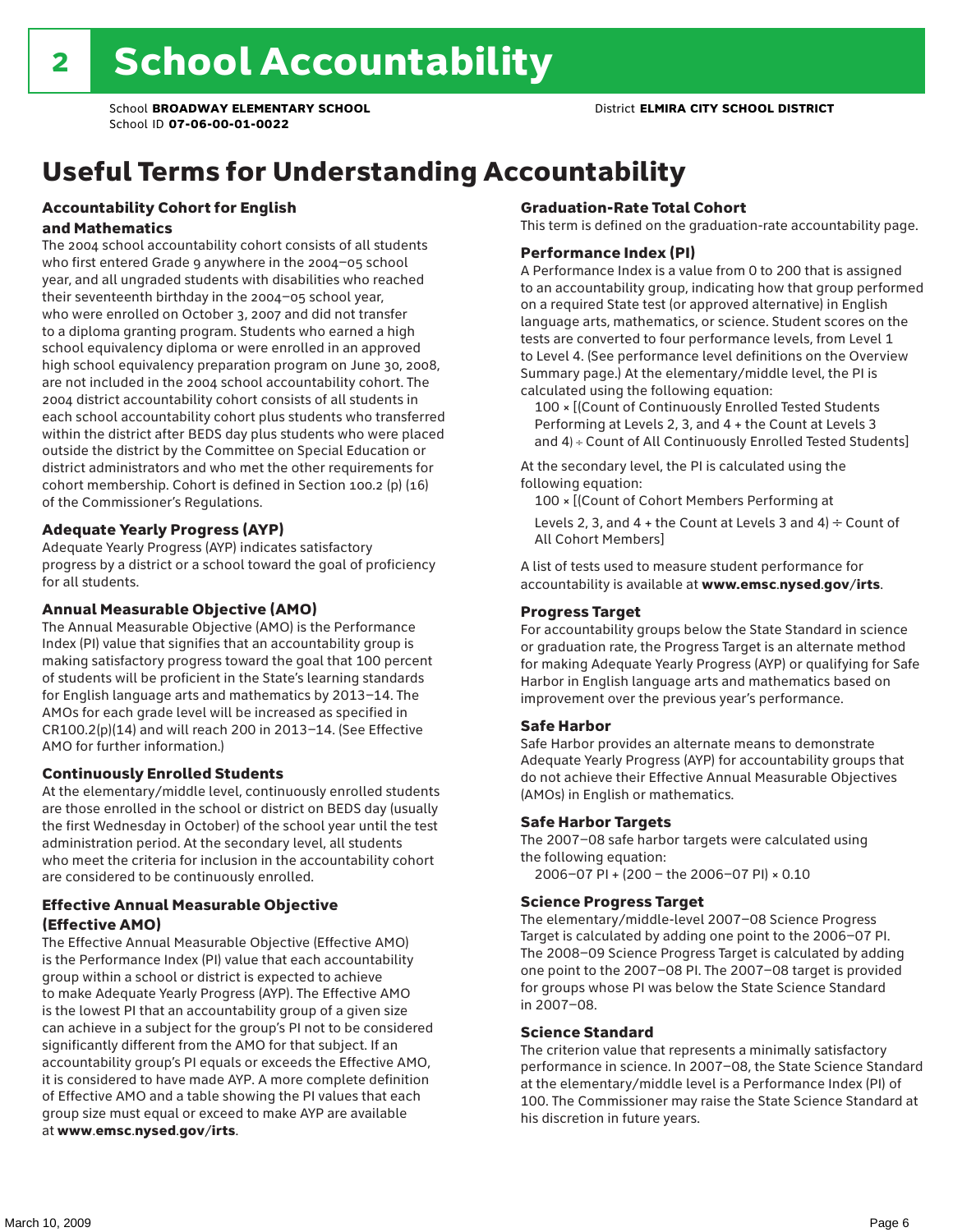### Useful Terms for Understanding Accountability

#### Accountability Cohort for English and Mathematics

The 2004 school accountability cohort consists of all students who first entered Grade 9 anywhere in the 2004–05 school year, and all ungraded students with disabilities who reached their seventeenth birthday in the 2004–05 school year, who were enrolled on October 3, 2007 and did not transfer to a diploma granting program. Students who earned a high school equivalency diploma or were enrolled in an approved high school equivalency preparation program on June 30, 2008, are not included in the 2004 school accountability cohort. The 2004 district accountability cohort consists of all students in each school accountability cohort plus students who transferred within the district after BEDS day plus students who were placed outside the district by the Committee on Special Education or district administrators and who met the other requirements for cohort membership. Cohort is defined in Section 100.2 (p) (16) of the Commissioner's Regulations.

#### Adequate Yearly Progress (AYP)

Adequate Yearly Progress (AYP) indicates satisfactory progress by a district or a school toward the goal of proficiency for all students.

#### Annual Measurable Objective (AMO)

The Annual Measurable Objective (AMO) is the Performance Index (PI) value that signifies that an accountability group is making satisfactory progress toward the goal that 100 percent of students will be proficient in the State's learning standards for English language arts and mathematics by 2013–14. The AMOs for each grade level will be increased as specified in CR100.2(p)(14) and will reach 200 in 2013–14. (See Effective AMO for further information.)

#### Continuously Enrolled Students

At the elementary/middle level, continuously enrolled students are those enrolled in the school or district on BEDS day (usually the first Wednesday in October) of the school year until the test administration period. At the secondary level, all students who meet the criteria for inclusion in the accountability cohort are considered to be continuously enrolled.

#### Effective Annual Measurable Objective (Effective AMO)

The Effective Annual Measurable Objective (Effective AMO) is the Performance Index (PI) value that each accountability group within a school or district is expected to achieve to make Adequate Yearly Progress (AYP). The Effective AMO is the lowest PI that an accountability group of a given size can achieve in a subject for the group's PI not to be considered significantly different from the AMO for that subject. If an accountability group's PI equals or exceeds the Effective AMO, it is considered to have made AYP. A more complete definition of Effective AMO and a table showing the PI values that each group size must equal or exceed to make AYP are available at www.emsc.nysed.gov/irts.

#### Graduation-Rate Total Cohort

This term is defined on the graduation-rate accountability page.

#### Performance Index (PI)

A Performance Index is a value from 0 to 200 that is assigned to an accountability group, indicating how that group performed on a required State test (or approved alternative) in English language arts, mathematics, or science. Student scores on the tests are converted to four performance levels, from Level 1 to Level 4. (See performance level definitions on the Overview Summary page.) At the elementary/middle level, the PI is calculated using the following equation:

100 × [(Count of Continuously Enrolled Tested Students Performing at Levels 2, 3, and 4 + the Count at Levels 3 and 4) ÷ Count of All Continuously Enrolled Tested Students]

At the secondary level, the PI is calculated using the following equation:

100 × [(Count of Cohort Members Performing at

Levels 2, 3, and 4 + the Count at Levels 3 and 4)  $\div$  Count of All Cohort Members]

A list of tests used to measure student performance for accountability is available at www.emsc.nysed.gov/irts.

#### Progress Target

For accountability groups below the State Standard in science or graduation rate, the Progress Target is an alternate method for making Adequate Yearly Progress (AYP) or qualifying for Safe Harbor in English language arts and mathematics based on improvement over the previous year's performance.

#### Safe Harbor

Safe Harbor provides an alternate means to demonstrate Adequate Yearly Progress (AYP) for accountability groups that do not achieve their Effective Annual Measurable Objectives (AMOs) in English or mathematics.

#### Safe Harbor Targets

The 2007–08 safe harbor targets were calculated using the following equation:

2006–07 PI + (200 – the 2006–07 PI) × 0.10

#### Science Progress Target

The elementary/middle-level 2007–08 Science Progress Target is calculated by adding one point to the 2006–07 PI. The 2008–09 Science Progress Target is calculated by adding one point to the 2007–08 PI. The 2007–08 target is provided for groups whose PI was below the State Science Standard in 2007–08.

#### Science Standard

The criterion value that represents a minimally satisfactory performance in science. In 2007–08, the State Science Standard at the elementary/middle level is a Performance Index (PI) of 100. The Commissioner may raise the State Science Standard at his discretion in future years.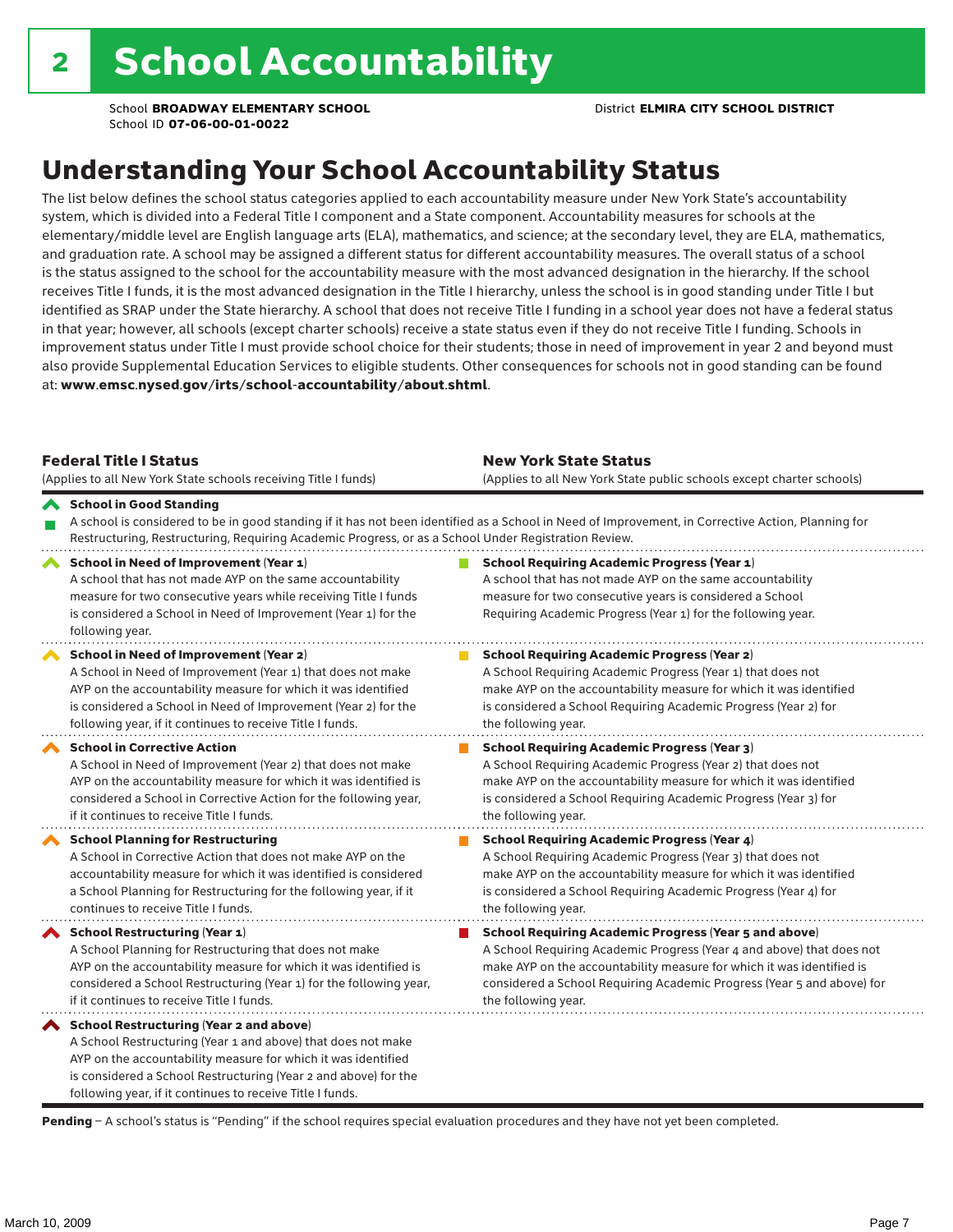### Understanding Your School Accountability Status

The list below defines the school status categories applied to each accountability measure under New York State's accountability system, which is divided into a Federal Title I component and a State component. Accountability measures for schools at the elementary/middle level are English language arts (ELA), mathematics, and science; at the secondary level, they are ELA, mathematics, and graduation rate. A school may be assigned a different status for different accountability measures. The overall status of a school is the status assigned to the school for the accountability measure with the most advanced designation in the hierarchy. If the school receives Title I funds, it is the most advanced designation in the Title I hierarchy, unless the school is in good standing under Title I but identified as SRAP under the State hierarchy. A school that does not receive Title I funding in a school year does not have a federal status in that year; however, all schools (except charter schools) receive a state status even if they do not receive Title I funding. Schools in improvement status under Title I must provide school choice for their students; those in need of improvement in year 2 and beyond must also provide Supplemental Education Services to eligible students. Other consequences for schools not in good standing can be found at: www.emsc.nysed.gov/irts/school-accountability/about.shtml.

| <b>Federal Title I Status</b><br>(Applies to all New York State schools receiving Title I funds)                                                                                                                                                                                                         | <b>New York State Status</b><br>(Applies to all New York State public schools except charter schools) |                                                                                                                                                                                                                                                                                                                 |  |  |  |
|----------------------------------------------------------------------------------------------------------------------------------------------------------------------------------------------------------------------------------------------------------------------------------------------------------|-------------------------------------------------------------------------------------------------------|-----------------------------------------------------------------------------------------------------------------------------------------------------------------------------------------------------------------------------------------------------------------------------------------------------------------|--|--|--|
| School in Good Standing<br>Restructuring, Restructuring, Requiring Academic Progress, or as a School Under Registration Review.                                                                                                                                                                          |                                                                                                       | A school is considered to be in good standing if it has not been identified as a School in Need of Improvement, in Corrective Action, Planning for                                                                                                                                                              |  |  |  |
| School in Need of Improvement (Year 1)<br>A school that has not made AYP on the same accountability<br>measure for two consecutive years while receiving Title I funds<br>is considered a School in Need of Improvement (Year 1) for the<br>following year.                                              |                                                                                                       | <b>School Requiring Academic Progress (Year 1)</b><br>A school that has not made AYP on the same accountability<br>measure for two consecutive years is considered a School<br>Requiring Academic Progress (Year 1) for the following year.                                                                     |  |  |  |
| School in Need of Improvement (Year 2)<br>A School in Need of Improvement (Year 1) that does not make<br>AYP on the accountability measure for which it was identified<br>is considered a School in Need of Improvement (Year 2) for the<br>following year, if it continues to receive Title I funds.    |                                                                                                       | <b>School Requiring Academic Progress (Year 2)</b><br>A School Requiring Academic Progress (Year 1) that does not<br>make AYP on the accountability measure for which it was identified<br>is considered a School Requiring Academic Progress (Year 2) for<br>the following year.                               |  |  |  |
| <b>School in Corrective Action</b><br>A School in Need of Improvement (Year 2) that does not make<br>AYP on the accountability measure for which it was identified is<br>considered a School in Corrective Action for the following year,<br>if it continues to receive Title I funds.                   |                                                                                                       | <b>School Requiring Academic Progress (Year 3)</b><br>A School Requiring Academic Progress (Year 2) that does not<br>make AYP on the accountability measure for which it was identified<br>is considered a School Requiring Academic Progress (Year 3) for<br>the following year.                               |  |  |  |
| <b>School Planning for Restructuring</b><br>A School in Corrective Action that does not make AYP on the<br>accountability measure for which it was identified is considered<br>a School Planning for Restructuring for the following year, if it<br>continues to receive Title I funds.                  |                                                                                                       | <b>School Requiring Academic Progress (Year 4)</b><br>A School Requiring Academic Progress (Year 3) that does not<br>make AYP on the accountability measure for which it was identified<br>is considered a School Requiring Academic Progress (Year 4) for<br>the following year.                               |  |  |  |
| <b>School Restructuring (Year 1)</b><br>A School Planning for Restructuring that does not make<br>AYP on the accountability measure for which it was identified is<br>considered a School Restructuring (Year 1) for the following year,<br>if it continues to receive Title I funds.                    |                                                                                                       | <b>School Requiring Academic Progress (Year 5 and above)</b><br>A School Requiring Academic Progress (Year 4 and above) that does not<br>make AYP on the accountability measure for which it was identified is<br>considered a School Requiring Academic Progress (Year 5 and above) for<br>the following year. |  |  |  |
| School Restructuring (Year 2 and above)<br>A School Restructuring (Year 1 and above) that does not make<br>AYP on the accountability measure for which it was identified<br>is considered a School Restructuring (Year 2 and above) for the<br>following year, if it continues to receive Title I funds. |                                                                                                       |                                                                                                                                                                                                                                                                                                                 |  |  |  |

Pending - A school's status is "Pending" if the school requires special evaluation procedures and they have not yet been completed.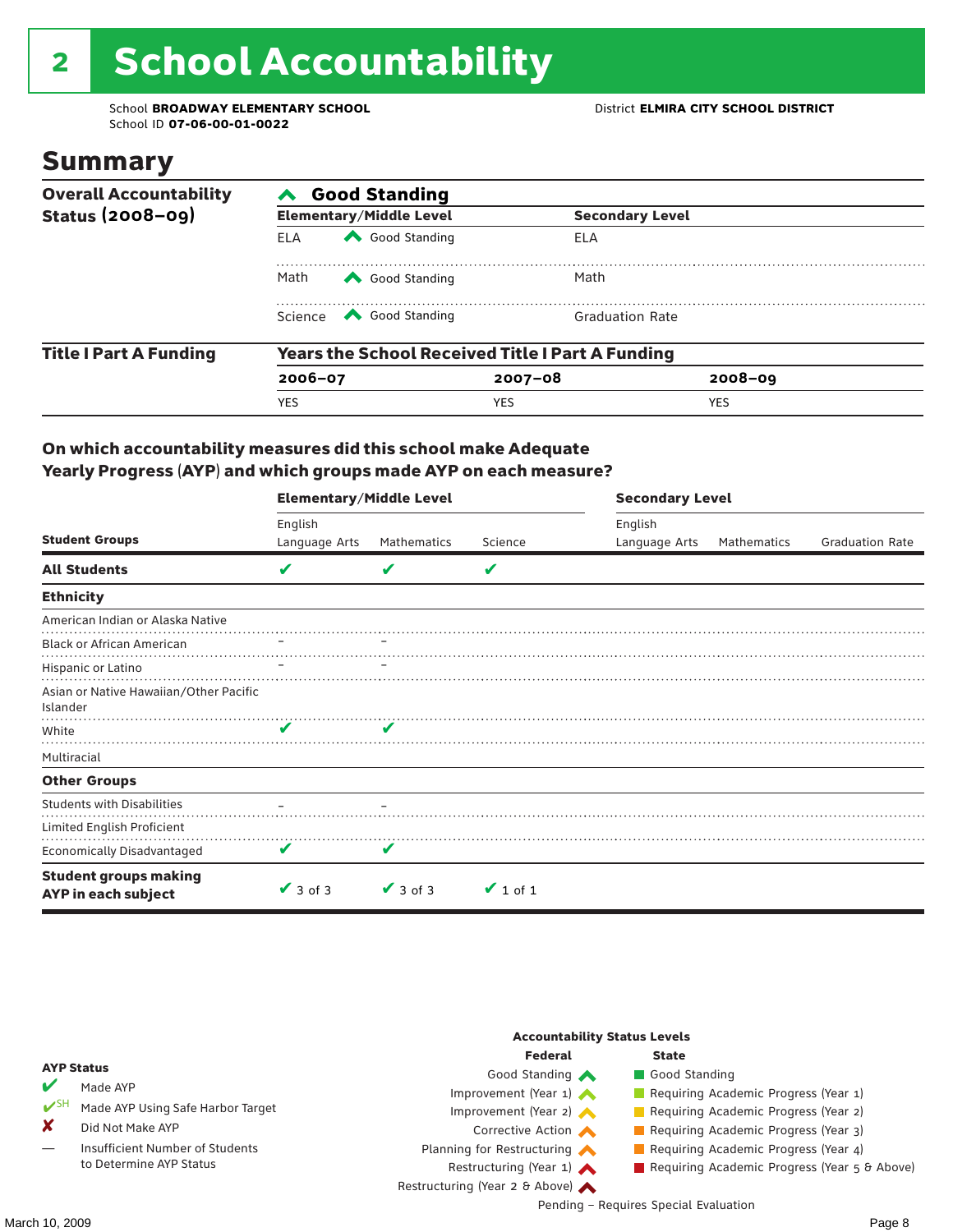## 2 School Accountability

School **BROADWAY ELEMENTARY SCHOOL** District **ELMIRA CITY SCHOOL DISTRICT** School ID **07-06-00-01-0022**

### Summary

| <b>Overall Accountability</b> | <b>Good Standing</b>                                    |                                                                                                                                                                                                                                                                                                                                                 |                        |             |  |  |  |  |
|-------------------------------|---------------------------------------------------------|-------------------------------------------------------------------------------------------------------------------------------------------------------------------------------------------------------------------------------------------------------------------------------------------------------------------------------------------------|------------------------|-------------|--|--|--|--|
| <b>Status (2008-09)</b>       |                                                         | <b>Elementary/Middle Level</b>                                                                                                                                                                                                                                                                                                                  | <b>Secondary Level</b> |             |  |  |  |  |
|                               | ELA                                                     | Good Standing                                                                                                                                                                                                                                                                                                                                   | ELA                    |             |  |  |  |  |
|                               | Math                                                    | Good Standing                                                                                                                                                                                                                                                                                                                                   | Math                   |             |  |  |  |  |
|                               |                                                         | Science <a> Science</a> Science Science Science <a> Science <a> Science <a> Science <a> Science <a> Science <a> Science <a> Science <a> Science <a> Science <a> Science <a<br></a<br> Science <a> Science <a> Science <a<br <="" td=""><td><b>Graduation Rate</b></td><td></td><td></td></a<br></a></a></a></a></a></a></a></a></a></a></a></a> | <b>Graduation Rate</b> |             |  |  |  |  |
| <b>Title I Part A Funding</b> | <b>Years the School Received Title I Part A Funding</b> |                                                                                                                                                                                                                                                                                                                                                 |                        |             |  |  |  |  |
|                               | $2006 - 07$                                             |                                                                                                                                                                                                                                                                                                                                                 | $2007 - 08$            | $2008 - 09$ |  |  |  |  |
|                               | <b>YES</b>                                              |                                                                                                                                                                                                                                                                                                                                                 | <b>YES</b>             | <b>YES</b>  |  |  |  |  |

#### On which accountability measures did this school make Adequate Yearly Progress (AYP) and which groups made AYP on each measure?

|                                                     | <b>Elementary/Middle Level</b> |               |               | <b>Secondary Level</b> |             |                        |  |
|-----------------------------------------------------|--------------------------------|---------------|---------------|------------------------|-------------|------------------------|--|
|                                                     | English                        |               |               | English                |             |                        |  |
| <b>Student Groups</b>                               | Language Arts                  | Mathematics   | Science       | Language Arts          | Mathematics | <b>Graduation Rate</b> |  |
| <b>All Students</b>                                 | V                              |               | V             |                        |             |                        |  |
| <b>Ethnicity</b>                                    |                                |               |               |                        |             |                        |  |
| American Indian or Alaska Native                    |                                |               |               |                        |             |                        |  |
| <b>Black or African American</b>                    |                                |               |               |                        |             |                        |  |
| Hispanic or Latino                                  |                                |               |               |                        |             |                        |  |
| Asian or Native Hawaiian/Other Pacific<br>Islander  |                                |               |               |                        |             |                        |  |
| White                                               | V                              | V             |               |                        |             |                        |  |
| Multiracial                                         |                                |               |               |                        |             |                        |  |
| <b>Other Groups</b>                                 |                                |               |               |                        |             |                        |  |
| <b>Students with Disabilities</b>                   |                                |               |               |                        |             |                        |  |
| Limited English Proficient                          |                                |               |               |                        |             |                        |  |
| <b>Economically Disadvantaged</b>                   | V                              | V             |               |                        |             |                        |  |
| <b>Student groups making</b><br>AYP in each subject | $\vee$ 3 of 3                  | $\vee$ 3 of 3 | $\vee$ 1 of 1 |                        |             |                        |  |

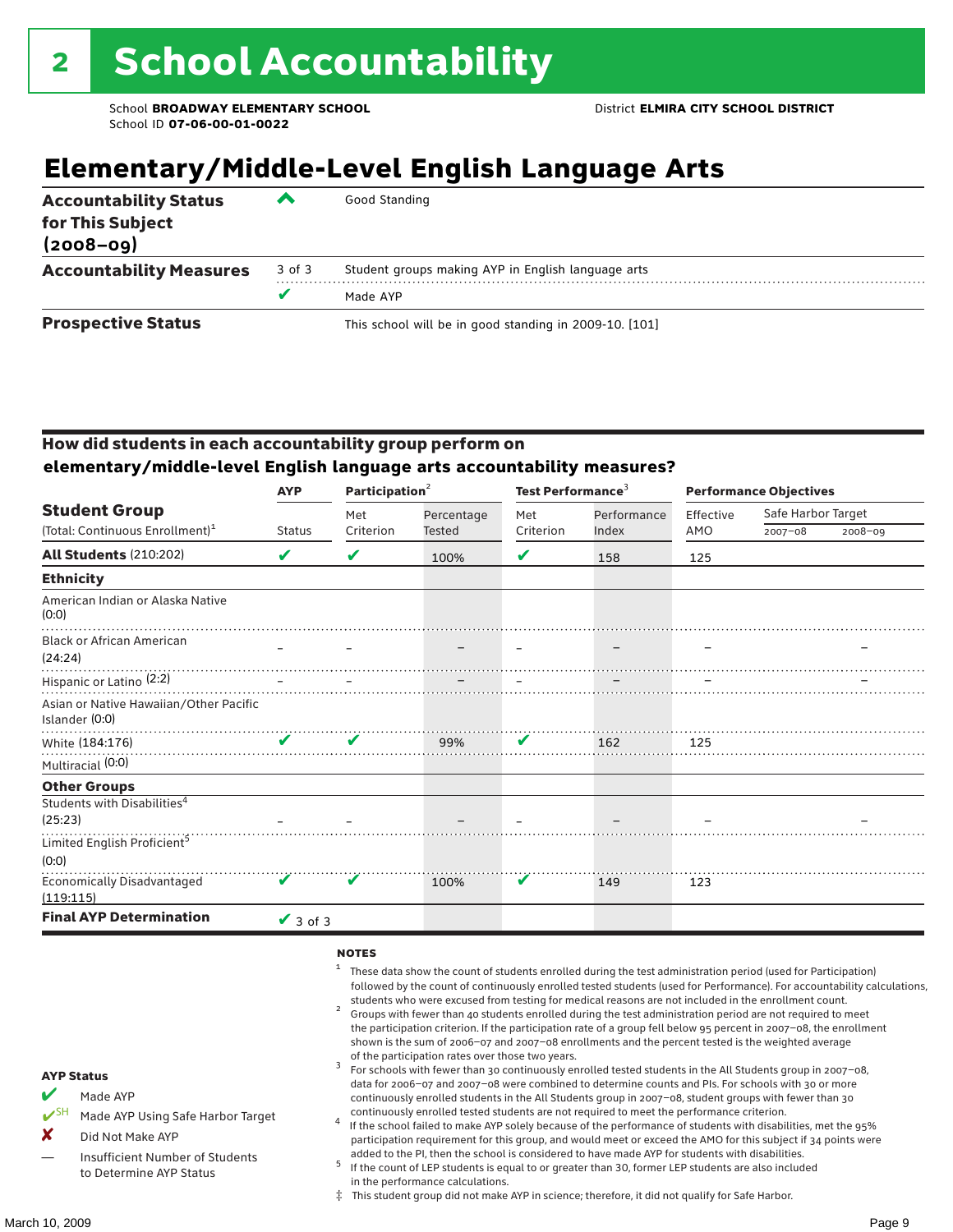### **Elementary/Middle-Level English Language Arts**

| <b>Accountability Status</b><br>for This Subject<br>$(2008 - 09)$ | ▰      | Good Standing                                          |
|-------------------------------------------------------------------|--------|--------------------------------------------------------|
| <b>Accountability Measures</b>                                    | 3 of 3 | Student groups making AYP in English language arts     |
|                                                                   | v      | Made AYP                                               |
| <b>Prospective Status</b>                                         |        | This school will be in good standing in 2009-10. [101] |

#### How did students in each accountability group perform on **elementary/middle-level English language arts accountability measures?**

|                                                          | <b>AYP</b>      | Participation <sup>2</sup> |            | Test Performance <sup>3</sup> |             | <b>Performance Objectives</b> |                    |             |
|----------------------------------------------------------|-----------------|----------------------------|------------|-------------------------------|-------------|-------------------------------|--------------------|-------------|
| <b>Student Group</b>                                     |                 | Met                        | Percentage | Met                           | Performance | Effective                     | Safe Harbor Target |             |
| (Total: Continuous Enrollment) <sup>1</sup>              | <b>Status</b>   | Criterion                  | Tested     | Criterion                     | Index       | AMO                           | $2007 - 08$        | $2008 - 09$ |
| <b>All Students (210:202)</b>                            | V               | V                          | 100%       | V                             | 158         | 125                           |                    |             |
| <b>Ethnicity</b>                                         |                 |                            |            |                               |             |                               |                    |             |
| American Indian or Alaska Native<br>(0:0)                |                 |                            |            |                               |             |                               |                    |             |
| <b>Black or African American</b><br>(24:24)              |                 |                            |            |                               |             |                               |                    |             |
| Hispanic or Latino <sup>(2:2)</sup>                      |                 |                            |            |                               |             |                               |                    |             |
| Asian or Native Hawaiian/Other Pacific<br>Islander (0:0) |                 |                            |            |                               |             |                               |                    |             |
| White (184:176)                                          | V               | V                          | 99%        | V                             | 162         | 125                           |                    |             |
| Multiracial (0:0)                                        |                 |                            |            |                               |             |                               |                    |             |
| <b>Other Groups</b>                                      |                 |                            |            |                               |             |                               |                    |             |
| Students with Disabilities <sup>4</sup><br>(25:23)       |                 |                            |            |                               |             |                               |                    |             |
| Limited English Proficient <sup>5</sup>                  |                 |                            |            |                               |             |                               |                    |             |
| (0:0)                                                    |                 |                            |            |                               |             |                               |                    |             |
| <b>Economically Disadvantaged</b><br>(119:115)           | V               | V                          | 100%       | V                             | 149         | 123                           |                    |             |
| <b>Final AYP Determination</b>                           | $\sqrt{3}$ of 3 |                            |            |                               |             |                               |                    |             |

#### **NOTES**

- <sup>1</sup> These data show the count of students enrolled during the test administration period (used for Participation) followed by the count of continuously enrolled tested students (used for Performance). For accountability calculations,
- students who were excused from testing for medical reasons are not included in the enrollment count. <sup>2</sup> Groups with fewer than 40 students enrolled during the test administration period are not required to meet the participation criterion. If the participation rate of a group fell below 95 percent in 2007–08, the enrollment shown is the sum of 2006–07 and 2007–08 enrollments and the percent tested is the weighted average
- of the participation rates over those two years.<br><sup>3</sup> For schools with fewer than 30 continuously enrolled tested students in the All Students group in 2007–08, data for 2006–07 and 2007–08 were combined to determine counts and PIs. For schools with 30 or more continuously enrolled students in the All Students group in 2007–08, student groups with fewer than 30
- continuously enrolled tested students are not required to meet the performance criterion. <sup>4</sup> If the school failed to make AYP solely because of the performance of students with disabilities, met the 95% participation requirement for this group, and would meet or exceed the AMO for this subject if 34 points were added to the PI, then the school is considered to have made AYP for students with disabilities.
- $5$  If the count of LEP students is equal to or greater than 30, former LEP students are also included in the performance calculations.
- ‡ This student group did not make AYP in science; therefore, it did not qualify for Safe Harbor.

AYP Status Made AYP

X Did Not Make AYP

Made AYP Using Safe Harbor Target

Insufficient Number of Students to Determine AYP Status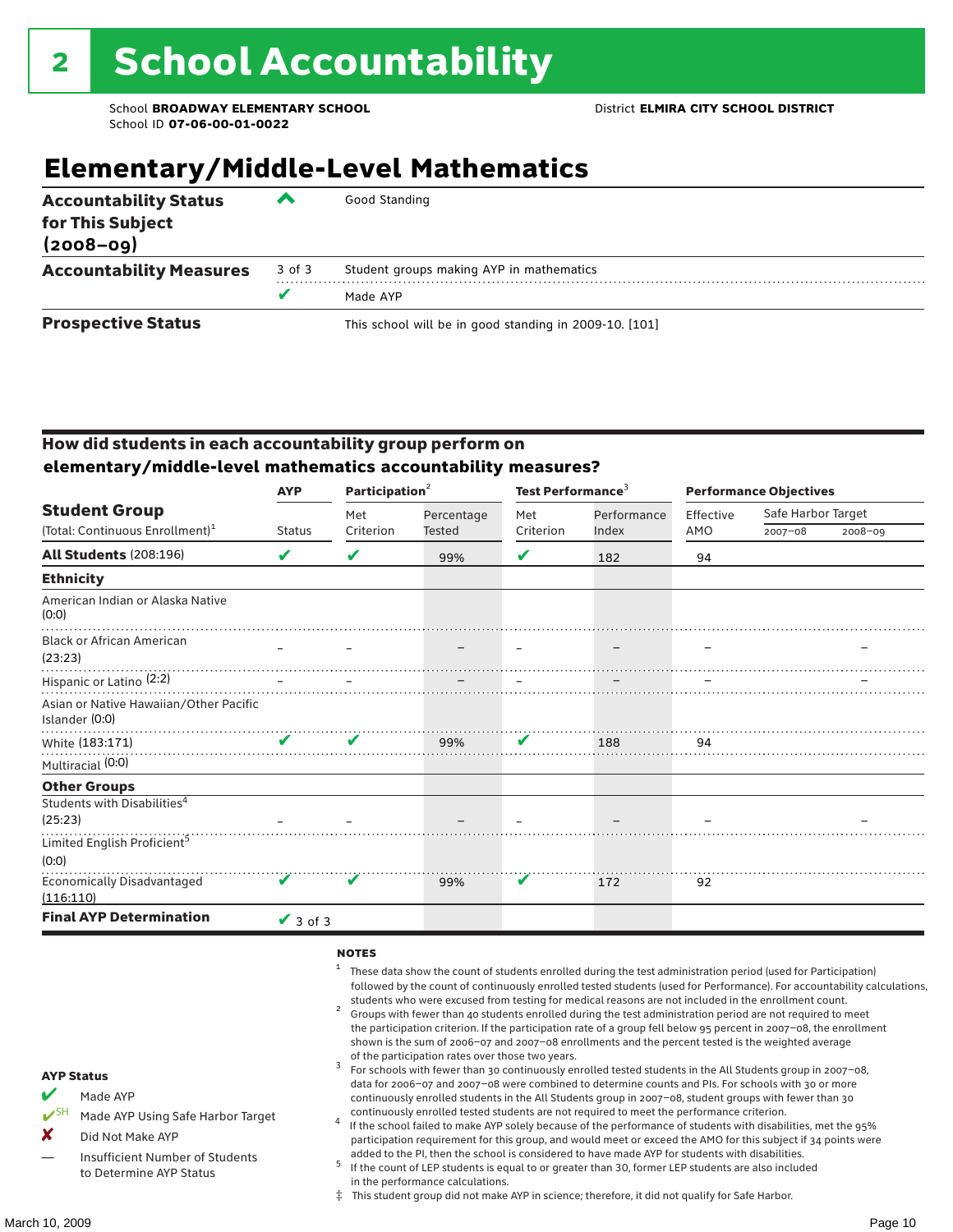### **Elementary/Middle-Level Mathematics**

| <b>Accountability Status</b><br>for This Subject<br>$(2008 - 09)$ | ▰      | Good Standing                                          |
|-------------------------------------------------------------------|--------|--------------------------------------------------------|
| <b>Accountability Measures</b>                                    | 3 of 3 | Student groups making AYP in mathematics               |
|                                                                   | v      | Made AYP                                               |
| <b>Prospective Status</b>                                         |        | This school will be in good standing in 2009-10. [101] |

#### How did students in each accountability group perform on **elementary/middle-level mathematics accountability measures?**

|                                                          | <b>AYP</b>         | Participation <sup>2</sup> |               | Test Performance <sup>3</sup> |             | <b>Performance Objectives</b> |                    |             |
|----------------------------------------------------------|--------------------|----------------------------|---------------|-------------------------------|-------------|-------------------------------|--------------------|-------------|
| <b>Student Group</b>                                     |                    | Met                        | Percentage    | Met                           | Performance | Effective                     | Safe Harbor Target |             |
| (Total: Continuous Enrollment) <sup>1</sup>              | <b>Status</b>      | Criterion                  | <b>Tested</b> | Criterion                     | Index       | AMO                           | $2007 - 08$        | $2008 - 09$ |
| <b>All Students (208:196)</b>                            | V                  | V                          | 99%           | V                             | 182         | 94                            |                    |             |
| <b>Ethnicity</b>                                         |                    |                            |               |                               |             |                               |                    |             |
| American Indian or Alaska Native<br>(0:0)                |                    |                            |               |                               |             |                               |                    |             |
| <b>Black or African American</b><br>(23:23)              |                    |                            |               |                               |             |                               |                    |             |
| Hispanic or Latino <sup>(2:2)</sup>                      |                    |                            |               |                               |             |                               |                    |             |
| Asian or Native Hawaiian/Other Pacific<br>Islander (0:0) |                    |                            |               |                               |             |                               |                    |             |
| White (183:171)                                          | $\mathbf{v}$       | ✔                          | 99%           | V                             | 188         | 94                            |                    |             |
| Multiracial (0:0)                                        |                    |                            |               |                               |             |                               |                    |             |
| <b>Other Groups</b>                                      |                    |                            |               |                               |             |                               |                    |             |
| Students with Disabilities <sup>4</sup><br>(25:23)       |                    |                            |               |                               |             |                               |                    |             |
| Limited English Proficient <sup>5</sup><br>(0:0)         |                    |                            |               |                               |             |                               |                    |             |
| <b>Economically Disadvantaged</b><br>(116:110)           | $\boldsymbol{\nu}$ | V                          | 99%           | V                             | 172         | 92                            |                    |             |
| <b>Final AYP Determination</b>                           | $\vee$ 3 of 3      |                            |               |                               |             |                               |                    |             |

#### **NOTES**

- <sup>1</sup> These data show the count of students enrolled during the test administration period (used for Participation) followed by the count of continuously enrolled tested students (used for Performance). For accountability calculations,
- students who were excused from testing for medical reasons are not included in the enrollment count.<br><sup>2</sup> Groups with fewer than 40 students enrolled during the test administration period are not required to meet the participation criterion. If the participation rate of a group fell below 95 percent in 2007–08, the enrollment shown is the sum of 2006–07 and 2007–08 enrollments and the percent tested is the weighted average
- of the participation rates over those two years.<br><sup>3</sup> For schools with fewer than 30 continuously enrolled tested students in the All Students group in 2007–08, data for 2006–07 and 2007–08 were combined to determine counts and PIs. For schools with 30 or more continuously enrolled students in the All Students group in 2007–08, student groups with fewer than 30
- continuously enrolled tested students are not required to meet the performance criterion. <sup>4</sup> If the school failed to make AYP solely because of the performance of students with disabilities, met the 95% participation requirement for this group, and would meet or exceed the AMO for this subject if 34 points were added to the PI, then the school is considered to have made AYP for students with disabilities.
- $5$  If the count of LEP students is equal to or greater than 30, former LEP students are also included in the performance calculations.
- ‡ This student group did not make AYP in science; therefore, it did not qualify for Safe Harbor.
- Made AYP
	- Made AYP Using Safe Harbor Target
- X Did Not Make AYP
- Insufficient Number of Students to Determine AYP Status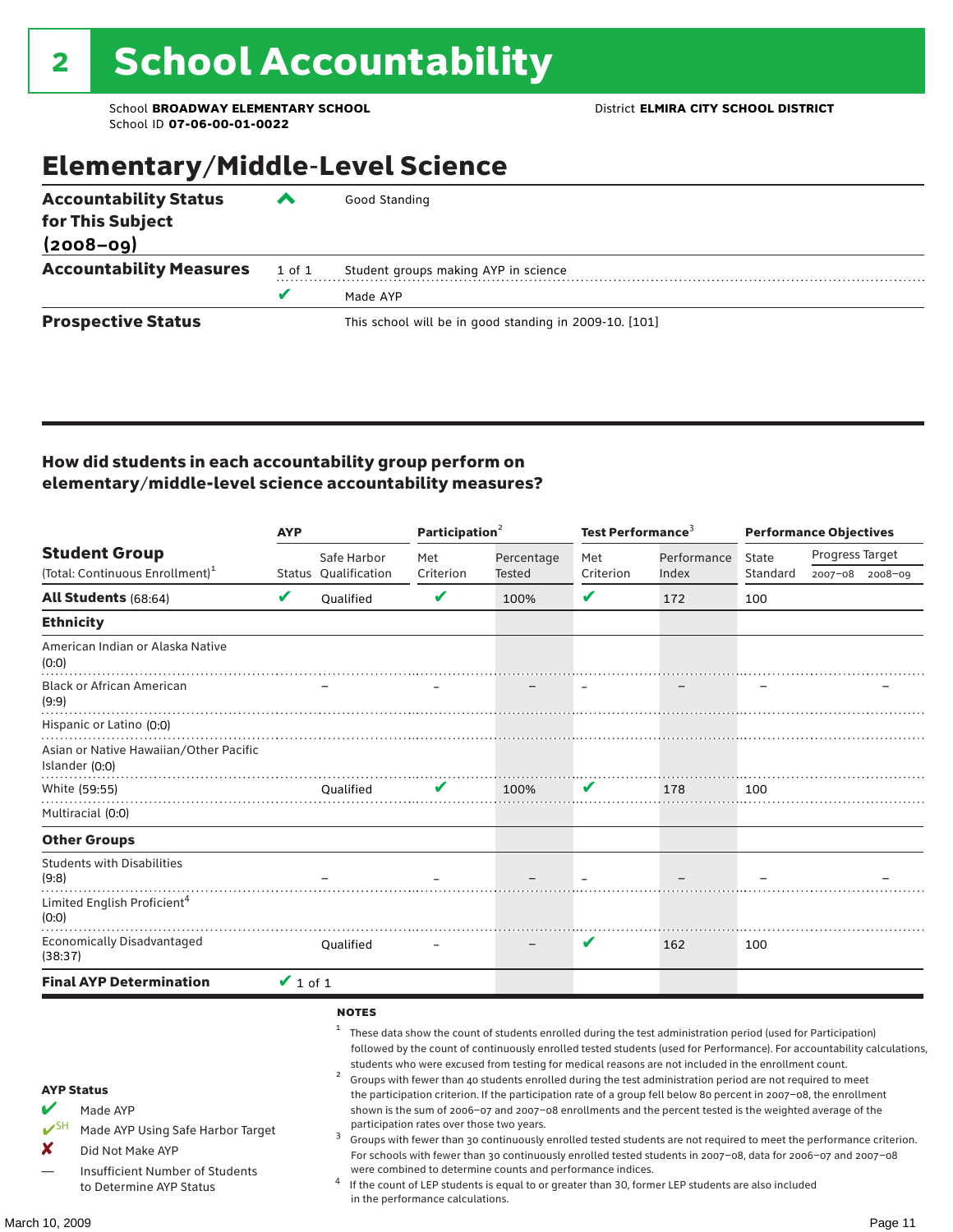### Elementary/Middle-Level Science

| <b>Accountability Status</b><br>for This Subject<br>$(2008 - 09)$ | $\boldsymbol{\tau}$ | Good Standing                                          |
|-------------------------------------------------------------------|---------------------|--------------------------------------------------------|
|                                                                   |                     |                                                        |
| <b>Accountability Measures</b>                                    | 1 of 1              | Student groups making AYP in science                   |
|                                                                   | v                   | Made AYP                                               |
| <b>Prospective Status</b>                                         |                     | This school will be in good standing in 2009-10. [101] |

#### How did students in each accountability group perform on elementary/middle-level science accountability measures?

|                                                                                                                                                                            |               |                                | Participation <sup>2</sup>                                                    |                                                            | Test Performance $3$ |                                                                                                                                                                                                                                                                                                                                                                                                                                                                                                                                                                                                                                                                                                                                                                                                                                                                                                                                                                                                                                                 | <b>Performance Objectives</b> |                 |                 |
|----------------------------------------------------------------------------------------------------------------------------------------------------------------------------|---------------|--------------------------------|-------------------------------------------------------------------------------|------------------------------------------------------------|----------------------|-------------------------------------------------------------------------------------------------------------------------------------------------------------------------------------------------------------------------------------------------------------------------------------------------------------------------------------------------------------------------------------------------------------------------------------------------------------------------------------------------------------------------------------------------------------------------------------------------------------------------------------------------------------------------------------------------------------------------------------------------------------------------------------------------------------------------------------------------------------------------------------------------------------------------------------------------------------------------------------------------------------------------------------------------|-------------------------------|-----------------|-----------------|
| <b>Student Group</b>                                                                                                                                                       |               | Safe Harbor                    | Met                                                                           | Percentage                                                 | Met                  | Performance                                                                                                                                                                                                                                                                                                                                                                                                                                                                                                                                                                                                                                                                                                                                                                                                                                                                                                                                                                                                                                     | State                         | Progress Target |                 |
| (Total: Continuous Enrollment) <sup>1</sup>                                                                                                                                |               | <b>Status Oualification</b>    | Criterion                                                                     | Tested                                                     | Criterion            | Index                                                                                                                                                                                                                                                                                                                                                                                                                                                                                                                                                                                                                                                                                                                                                                                                                                                                                                                                                                                                                                           | Standard                      |                 | 2007-08 2008-09 |
| <b>All Students (68:64)</b>                                                                                                                                                | V             | Oualified                      | $\mathbf v$                                                                   | 100%                                                       | V                    | 172                                                                                                                                                                                                                                                                                                                                                                                                                                                                                                                                                                                                                                                                                                                                                                                                                                                                                                                                                                                                                                             | 100                           |                 |                 |
| <b>Ethnicity</b>                                                                                                                                                           |               |                                |                                                                               |                                                            |                      |                                                                                                                                                                                                                                                                                                                                                                                                                                                                                                                                                                                                                                                                                                                                                                                                                                                                                                                                                                                                                                                 |                               |                 |                 |
| American Indian or Alaska Native<br>(0:0)                                                                                                                                  |               |                                |                                                                               |                                                            |                      |                                                                                                                                                                                                                                                                                                                                                                                                                                                                                                                                                                                                                                                                                                                                                                                                                                                                                                                                                                                                                                                 |                               |                 |                 |
| <b>Black or African American</b><br>(9:9)                                                                                                                                  |               |                                |                                                                               |                                                            |                      |                                                                                                                                                                                                                                                                                                                                                                                                                                                                                                                                                                                                                                                                                                                                                                                                                                                                                                                                                                                                                                                 |                               |                 |                 |
| Hispanic or Latino (0:0)                                                                                                                                                   |               |                                |                                                                               |                                                            |                      |                                                                                                                                                                                                                                                                                                                                                                                                                                                                                                                                                                                                                                                                                                                                                                                                                                                                                                                                                                                                                                                 |                               |                 |                 |
| Asian or Native Hawaiian/Other Pacific<br>Islander (0:0)                                                                                                                   |               |                                |                                                                               |                                                            |                      |                                                                                                                                                                                                                                                                                                                                                                                                                                                                                                                                                                                                                                                                                                                                                                                                                                                                                                                                                                                                                                                 |                               |                 |                 |
| White (59:55)                                                                                                                                                              |               | <b>Oualified</b>               | $\mathbf{v}$                                                                  | 100%                                                       | V                    | 178                                                                                                                                                                                                                                                                                                                                                                                                                                                                                                                                                                                                                                                                                                                                                                                                                                                                                                                                                                                                                                             | 100                           |                 |                 |
| Multiracial (0:0)                                                                                                                                                          |               |                                |                                                                               |                                                            |                      |                                                                                                                                                                                                                                                                                                                                                                                                                                                                                                                                                                                                                                                                                                                                                                                                                                                                                                                                                                                                                                                 |                               |                 |                 |
| <b>Other Groups</b>                                                                                                                                                        |               |                                |                                                                               |                                                            |                      |                                                                                                                                                                                                                                                                                                                                                                                                                                                                                                                                                                                                                                                                                                                                                                                                                                                                                                                                                                                                                                                 |                               |                 |                 |
| <b>Students with Disabilities</b><br>(9:8)                                                                                                                                 |               |                                |                                                                               |                                                            |                      |                                                                                                                                                                                                                                                                                                                                                                                                                                                                                                                                                                                                                                                                                                                                                                                                                                                                                                                                                                                                                                                 |                               |                 |                 |
| Limited English Proficient <sup>4</sup><br>(0:0)                                                                                                                           |               |                                |                                                                               |                                                            |                      |                                                                                                                                                                                                                                                                                                                                                                                                                                                                                                                                                                                                                                                                                                                                                                                                                                                                                                                                                                                                                                                 |                               |                 |                 |
| <b>Economically Disadvantaged</b><br>(38:37)                                                                                                                               |               | Qualified                      |                                                                               |                                                            | V                    | 162                                                                                                                                                                                                                                                                                                                                                                                                                                                                                                                                                                                                                                                                                                                                                                                                                                                                                                                                                                                                                                             | 100                           |                 |                 |
| <b>Final AYP Determination</b>                                                                                                                                             | $\vee$ 1 of 1 |                                |                                                                               |                                                            |                      |                                                                                                                                                                                                                                                                                                                                                                                                                                                                                                                                                                                                                                                                                                                                                                                                                                                                                                                                                                                                                                                 |                               |                 |                 |
| <b>AYP Status</b><br>V<br>Made AYP<br>$V^{SH}$<br>Made AYP Using Safe Harbor Target<br>×<br>Did Not Make AYP<br>Insufficient Number of Students<br>to Determine AYP Status |               | <b>NOTES</b><br>$\overline{a}$ | participation rates over those two years.<br>in the performance calculations. | were combined to determine counts and performance indices. |                      | These data show the count of students enrolled during the test administration period (used for Participation)<br>followed by the count of continuously enrolled tested students (used for Performance). For accountability calculations,<br>students who were excused from testing for medical reasons are not included in the enrollment count.<br>Groups with fewer than 40 students enrolled during the test administration period are not required to meet<br>the participation criterion. If the participation rate of a group fell below 80 percent in 2007-08, the enrollment<br>shown is the sum of 2006-07 and 2007-08 enrollments and the percent tested is the weighted average of the<br>Groups with fewer than 30 continuously enrolled tested students are not required to meet the performance criterion.<br>For schools with fewer than 30 continuously enrolled tested students in 2007-08, data for 2006-07 and 2007-08<br>If the count of LEP students is equal to or greater than 30, former LEP students are also included |                               |                 |                 |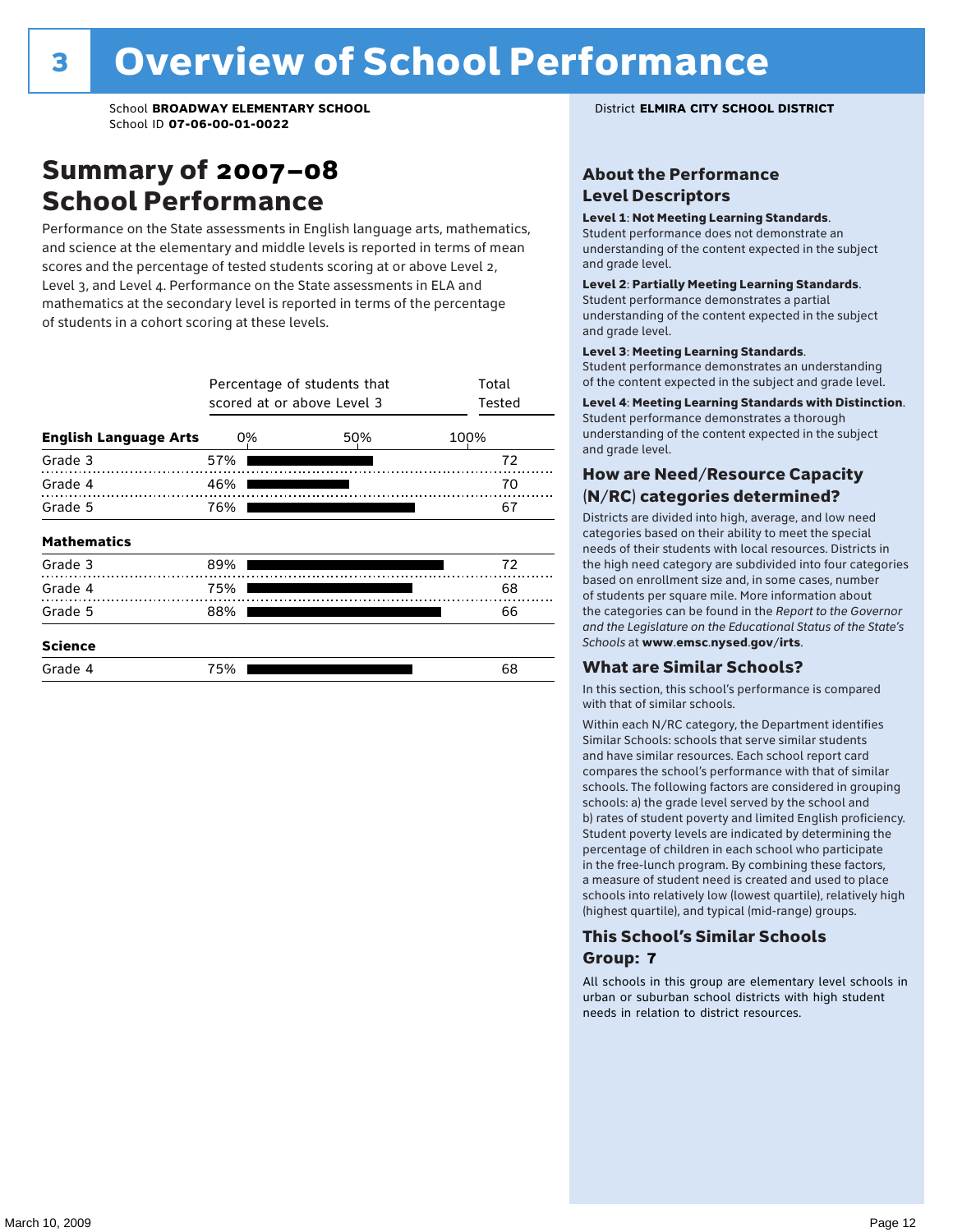### Summary of 2007–08 School Performance

Performance on the State assessments in English language arts, mathematics, and science at the elementary and middle levels is reported in terms of mean scores and the percentage of tested students scoring at or above Level 2, Level 3, and Level 4. Performance on the State assessments in ELA and mathematics at the secondary level is reported in terms of the percentage of students in a cohort scoring at these levels.

|                              |     | Percentage of students that<br>scored at or above Level 3 |      |  |  |  |  |  |
|------------------------------|-----|-----------------------------------------------------------|------|--|--|--|--|--|
| <b>English Language Arts</b> | 0%  | 50%                                                       | 100% |  |  |  |  |  |
| Grade 3                      | 57% |                                                           | 72   |  |  |  |  |  |
| Grade 4                      | 46% |                                                           | 70   |  |  |  |  |  |
| Grade 5                      | 76% |                                                           | 67   |  |  |  |  |  |
| <b>Mathematics</b>           |     |                                                           |      |  |  |  |  |  |
| Grade 3                      | 89% |                                                           | 72   |  |  |  |  |  |
| Grade 4                      | 75% |                                                           | 68   |  |  |  |  |  |
| Grade 5                      | 88% |                                                           | 66   |  |  |  |  |  |
| <b>Science</b>               |     |                                                           |      |  |  |  |  |  |
| Grade 4                      | 75% |                                                           | 68   |  |  |  |  |  |

#### About the Performance Level Descriptors

#### Level 1: Not Meeting Learning Standards.

Student performance does not demonstrate an understanding of the content expected in the subject and grade level.

#### Level 2: Partially Meeting Learning Standards.

Student performance demonstrates a partial understanding of the content expected in the subject and grade level.

#### Level 3: Meeting Learning Standards.

Student performance demonstrates an understanding of the content expected in the subject and grade level.

#### Level 4: Meeting Learning Standards with Distinction.

Student performance demonstrates a thorough understanding of the content expected in the subject and grade level.

#### How are Need/Resource Capacity (N/RC) categories determined?

Districts are divided into high, average, and low need categories based on their ability to meet the special needs of their students with local resources. Districts in the high need category are subdivided into four categories based on enrollment size and, in some cases, number of students per square mile. More information about the categories can be found in the *Report to the Governor and the Legislature on the Educational Status of the State's Schools* at www.emsc.nysed.gov/irts.

#### What are Similar Schools?

In this section, this school's performance is compared with that of similar schools.

Within each N/RC category, the Department identifies Similar Schools: schools that serve similar students and have similar resources. Each school report card compares the school's performance with that of similar schools. The following factors are considered in grouping schools: a) the grade level served by the school and b) rates of student poverty and limited English proficiency. Student poverty levels are indicated by determining the percentage of children in each school who participate in the free-lunch program. By combining these factors, a measure of student need is created and used to place schools into relatively low (lowest quartile), relatively high (highest quartile), and typical (mid-range) groups.

#### This School's Similar Schools Group: **7**

All schools in this group are elementary level schools in urban or suburban school districts with high student needs in relation to district resources.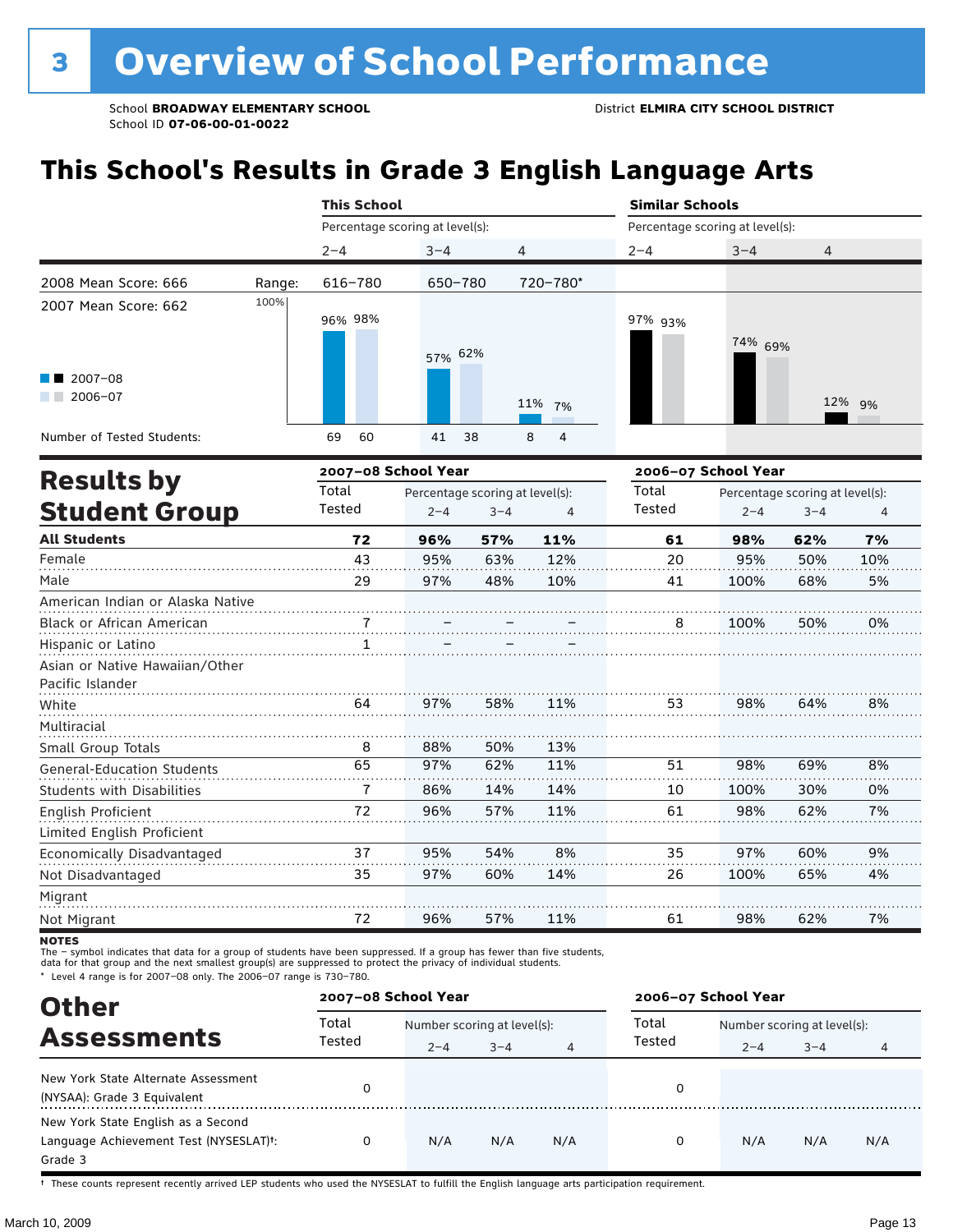### **This School's Results in Grade 3 English Language Arts**

|                                   |        | <b>This School</b>                       |         |         |                     | <b>Similar Schools</b>          |         |                                 |        |  |  |
|-----------------------------------|--------|------------------------------------------|---------|---------|---------------------|---------------------------------|---------|---------------------------------|--------|--|--|
|                                   |        | Percentage scoring at level(s):          |         |         |                     | Percentage scoring at level(s): |         |                                 |        |  |  |
|                                   |        | $2 - 4$                                  | $3 - 4$ | 4       |                     | $2 - 4$                         | $3 - 4$ | 4                               |        |  |  |
| 2008 Mean Score: 666              | Range: | 616-780                                  | 650-780 |         | 720-780*            |                                 |         |                                 |        |  |  |
| 2007 Mean Score: 662              | 100%   |                                          |         |         |                     |                                 |         |                                 |        |  |  |
|                                   |        | 96% 98%                                  |         |         |                     | 97% 93%                         |         |                                 |        |  |  |
|                                   |        |                                          | 57% 62% |         |                     |                                 | 74% 69% |                                 |        |  |  |
| $2007 - 08$                       |        |                                          |         |         |                     |                                 |         |                                 |        |  |  |
| $\blacksquare$ 2006-07            |        |                                          |         |         |                     |                                 |         |                                 |        |  |  |
|                                   |        |                                          |         |         | 11% 7%              |                                 |         |                                 | 12% 9% |  |  |
| Number of Tested Students:        |        | 60<br>69                                 | 41      | 38      | 8<br>$\overline{4}$ |                                 |         |                                 |        |  |  |
|                                   |        | 2007-08 School Year                      |         |         |                     | 2006-07 School Year             |         |                                 |        |  |  |
| <b>Results by</b>                 |        | Total<br>Percentage scoring at level(s): |         |         |                     | Total                           |         | Percentage scoring at level(s): |        |  |  |
| <b>Student Group</b>              |        | Tested                                   | $2 - 4$ | $3 - 4$ | 4                   | Tested                          | $2 - 4$ | $3 - 4$                         | 4      |  |  |
| <b>All Students</b>               |        | 72                                       | 96%     | 57%     | 11%                 | 61                              | 98%     | 62%                             | 7%     |  |  |
| Female                            |        | 43                                       | 95%     | 63%     | 12%                 | 20                              | 95%     | 50%                             | 10%    |  |  |
| Male                              |        | 29                                       | 97%     | 48%     | 10%                 | 41                              | 100%    | 68%                             | 5%     |  |  |
| American Indian or Alaska Native  |        |                                          |         |         |                     |                                 |         |                                 |        |  |  |
| <b>Black or African American</b>  |        |                                          |         |         |                     | 8                               | 100%    | 50%                             | 0%     |  |  |
| Hispanic or Latino                |        |                                          |         |         |                     |                                 |         |                                 |        |  |  |
| Asian or Native Hawaiian/Other    |        |                                          |         |         |                     |                                 |         |                                 |        |  |  |
| Pacific Islander                  |        |                                          |         |         |                     |                                 |         |                                 |        |  |  |
| White                             |        | 64                                       | 97%     | 58%     | 11%                 | 53                              | 98%     | 64%                             | 8%     |  |  |
| Multiracial                       |        |                                          |         |         |                     |                                 |         |                                 |        |  |  |
| Small Group Totals                |        | 8                                        | 88%     | 50%     | 13%                 |                                 |         |                                 |        |  |  |
| <b>General-Education Students</b> |        | 65                                       | 97%     | 62%     | 11%                 | 51                              | 98%     | 69%                             | 8%     |  |  |
| <b>Students with Disabilities</b> |        | $\overline{1}$                           | 86%     | 14%     | 14%                 | 10                              | 100%    | 30%                             | 0%     |  |  |
| English Proficient                |        | 72                                       | 96%     | 57%     | 11%                 | 61                              | 98%     | 62%                             | 7%     |  |  |
| Limitad Faalish Drafiais          |        |                                          |         |         |                     |                                 |         |                                 |        |  |  |

| Limited English Proficient |     |     |     |    |      |
|----------------------------|-----|-----|-----|----|------|
| Economically Disadvantaged | 95% | 54% | 8%  |    | 97%  |
| Not Disadvantaged          | 97% | 60% | 14% | 26 | 100% |
| Migrant                    |     |     |     |    |      |
| Not Migrant                | 96% | 57% | 11% |    | 98%  |
|                            |     |     |     |    |      |

**NOTES** 

The – symbol indicates that data for a group of students have been suppressed. If a group has fewer than five students,<br>data for that group and the next smallest group(s) are suppressed to protect the privacy of individual

\* Level 4 range is for 2007–08 only. The 2006–07 range is 730–780.

| <b>Other</b>                                        |        | 2007-08 School Year         |         |     | 2006-07 School Year |                             |         |     |  |
|-----------------------------------------------------|--------|-----------------------------|---------|-----|---------------------|-----------------------------|---------|-----|--|
| <b>Assessments</b>                                  | Total  | Number scoring at level(s): |         |     | Total               | Number scoring at level(s): |         |     |  |
|                                                     | Tested | $2 - 4$                     | $3 - 4$ | 4   | Tested              | $2 - 4$                     | $3 - 4$ | 4   |  |
| New York State Alternate Assessment                 |        |                             |         |     |                     |                             |         |     |  |
| (NYSAA): Grade 3 Equivalent                         |        |                             |         |     | 0                   |                             |         |     |  |
| New York State English as a Second                  |        |                             |         |     |                     |                             |         |     |  |
| Language Achievement Test (NYSESLAT) <sup>+</sup> : |        | N/A                         | N/A     | N/A | 0                   | N/A                         | N/A     | N/A |  |
| Grade 3                                             |        |                             |         |     |                     |                             |         |     |  |

† These counts represent recently arrived LEP students who used the NYSESLAT to fulfill the English language arts participation requirement.

60% 65%

9% 4%

7%

. . . . . . . . . . . .

62%

. . . . . . . . . . . . .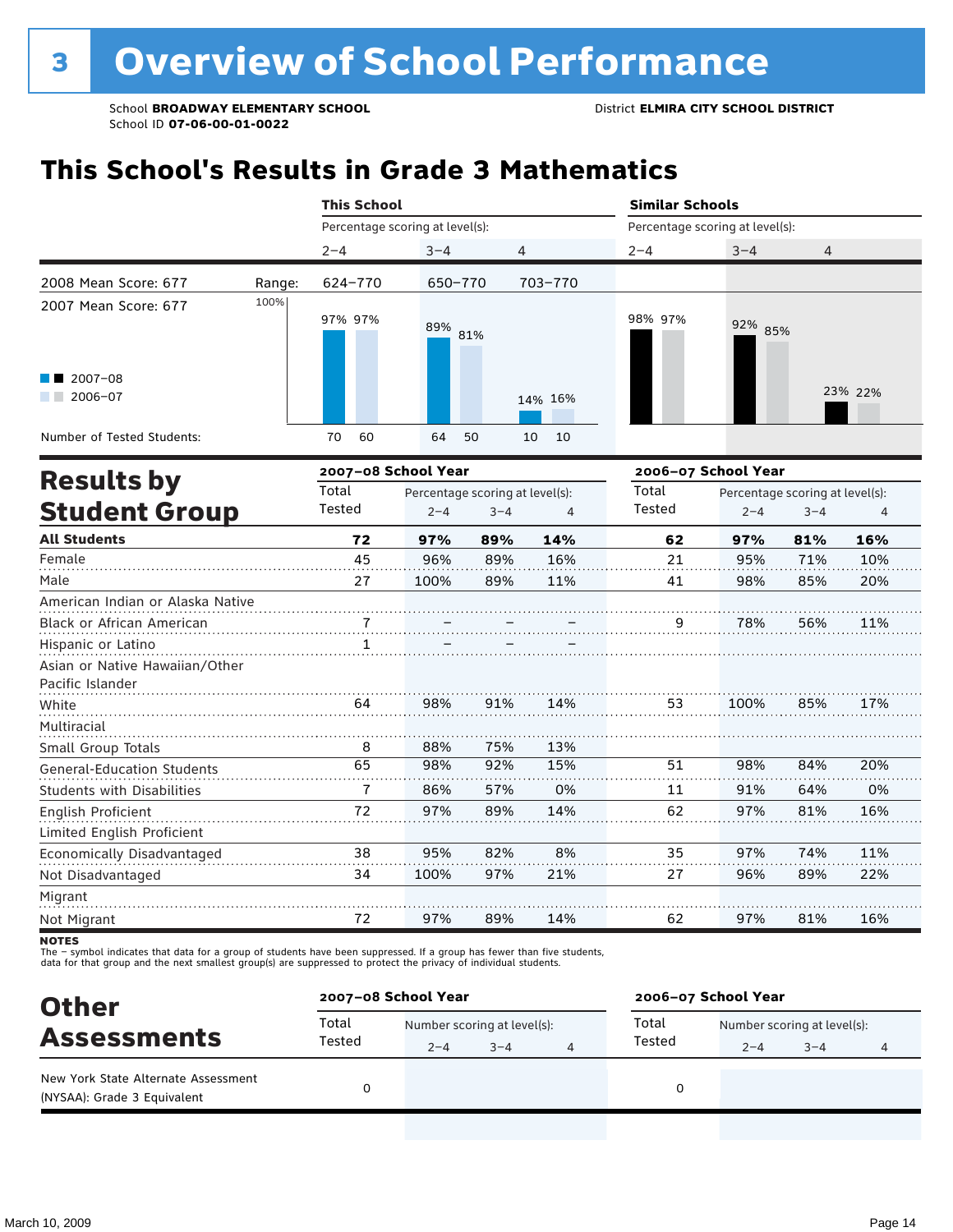### **This School's Results in Grade 3 Mathematics**

|                | <b>This School</b> |         |                                                                                    | <b>Similar Schools</b>                                           |         |         |                                                                                                      |
|----------------|--------------------|---------|------------------------------------------------------------------------------------|------------------------------------------------------------------|---------|---------|------------------------------------------------------------------------------------------------------|
|                |                    |         |                                                                                    |                                                                  |         |         |                                                                                                      |
| $2 - 4$        | $3 - 4$            |         |                                                                                    | $2 - 4$                                                          | $3 - 4$ | 4       |                                                                                                      |
| 624-770        |                    |         |                                                                                    |                                                                  |         |         |                                                                                                      |
| 97% 97%        |                    |         |                                                                                    | 98% 97%                                                          |         |         |                                                                                                      |
|                |                    |         |                                                                                    |                                                                  |         |         | 23% 22%                                                                                              |
| 60<br>70       | 64                 |         | 10                                                                                 |                                                                  |         |         |                                                                                                      |
|                |                    |         |                                                                                    |                                                                  |         |         |                                                                                                      |
| Total          |                    |         |                                                                                    | Total                                                            |         |         |                                                                                                      |
| Tested         | $2 - 4$            | $3 - 4$ | $\overline{4}$                                                                     | Tested                                                           | $2 - 4$ | $3 - 4$ |                                                                                                      |
| 72             | 97%                | 89%     | 14%                                                                                | 62                                                               | 97%     | 81%     | 16%                                                                                                  |
| 45             | 96%                | 89%     | 16%                                                                                | 21                                                               | 95%     | 71%     | 10%                                                                                                  |
| 27             | 100%               | 89%     | 11%                                                                                | 41                                                               | 98%     | 85%     | 20%                                                                                                  |
|                |                    |         |                                                                                    |                                                                  |         |         |                                                                                                      |
|                |                    |         |                                                                                    | 9                                                                | 78%     | 56%     | 11%                                                                                                  |
| 1              |                    |         |                                                                                    |                                                                  |         |         |                                                                                                      |
|                |                    |         |                                                                                    |                                                                  |         |         |                                                                                                      |
|                |                    |         |                                                                                    |                                                                  |         |         |                                                                                                      |
| 64             | 98%                | 91%     | 14%                                                                                | 53                                                               | 100%    | 85%     | 17%                                                                                                  |
|                |                    |         |                                                                                    |                                                                  |         |         |                                                                                                      |
| 8              | 88%                | 75%     | 13%                                                                                |                                                                  |         |         |                                                                                                      |
| 65             | 98%                | 92%     | 15%                                                                                | 51                                                               | 98%     | 84%     | 20%                                                                                                  |
| $\overline{7}$ | 86%                | 57%     | 0%                                                                                 | 11                                                               | 91%     | 64%     | 0%                                                                                                   |
| 72             | 97%                | 89%     | 14%                                                                                | 62                                                               | 97%     | 81%     | 16%                                                                                                  |
|                |                    |         |                                                                                    |                                                                  |         |         |                                                                                                      |
| 38             | 95%                | 82%     | 8%                                                                                 | 35                                                               | 97%     | 74%     | 11%                                                                                                  |
| 34             | 100%               | 97%     | 21%                                                                                | 27                                                               | 96%     | 89%     | 22%                                                                                                  |
|                |                    |         |                                                                                    |                                                                  |         |         |                                                                                                      |
| 72             | 97%                | 89%     | 14%                                                                                | 62                                                               | 97%     | 81%     | 16%                                                                                                  |
|                | Range:<br>100%     |         | Percentage scoring at level(s):<br>650-770<br>89% 81%<br>50<br>2007-08 School Year | 4<br>703-770<br>14% 16%<br>10<br>Percentage scoring at level(s): |         |         | Percentage scoring at level(s):<br>92% 85%<br>2006-07 School Year<br>Percentage scoring at level(s): |

**NOTES** 

| <b>Other</b>                                                       | 2007-08 School Year |         |                             |  | 2006-07 School Year |                             |         |  |  |
|--------------------------------------------------------------------|---------------------|---------|-----------------------------|--|---------------------|-----------------------------|---------|--|--|
| <b>Assessments</b>                                                 | Total               |         | Number scoring at level(s): |  |                     | Number scoring at level(s): |         |  |  |
|                                                                    | Tested              | $2 - 4$ | $3 - 4$                     |  | Tested              | $2 - 4$                     | $3 - 4$ |  |  |
| New York State Alternate Assessment<br>(NYSAA): Grade 3 Equivalent |                     |         |                             |  |                     |                             |         |  |  |
|                                                                    |                     |         |                             |  |                     |                             |         |  |  |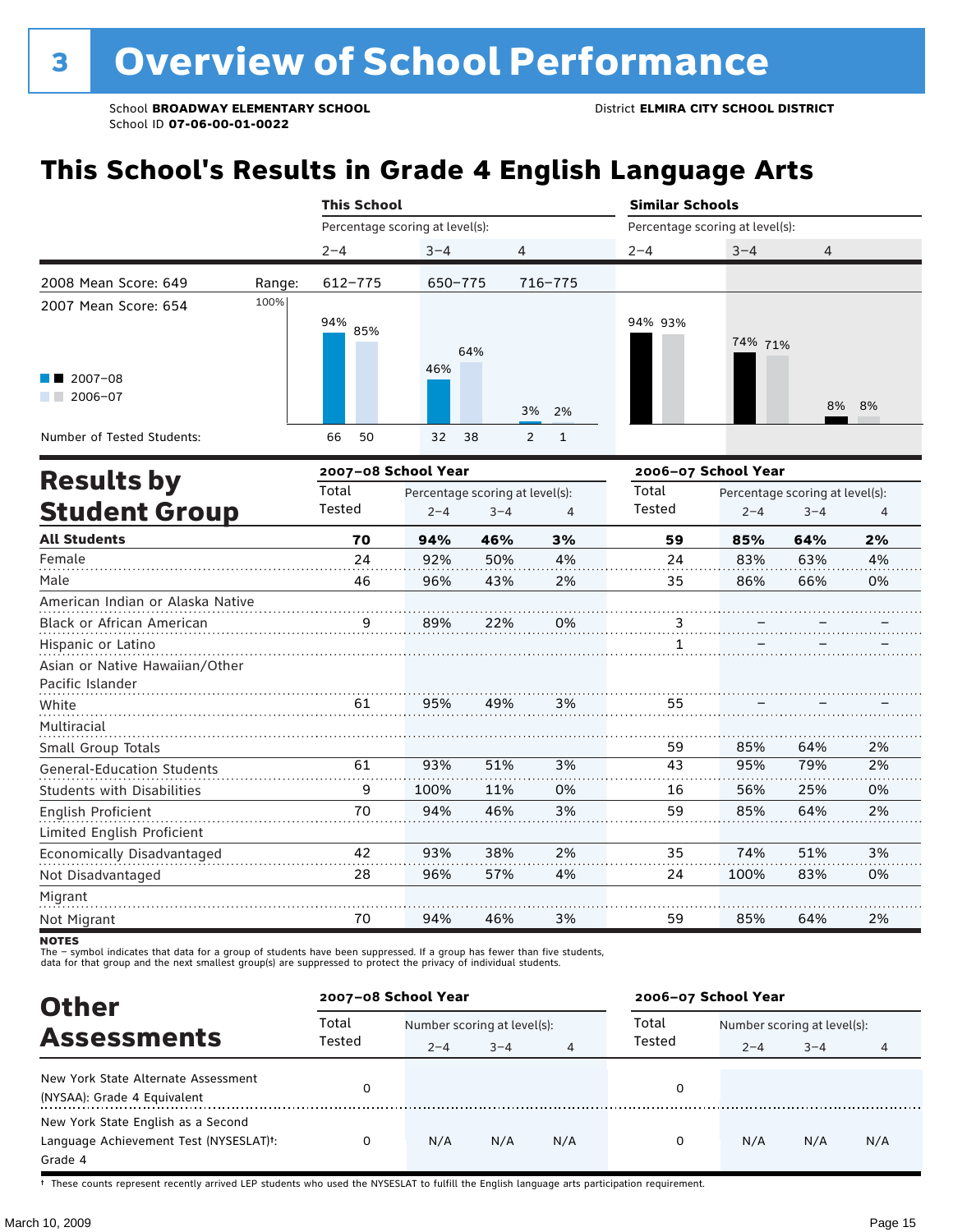### **This School's Results in Grade 4 English Language Arts**

|                                   |        | <b>This School</b>              |         |                                 |                | <b>Similar Schools</b>          |         |                                 |    |  |  |
|-----------------------------------|--------|---------------------------------|---------|---------------------------------|----------------|---------------------------------|---------|---------------------------------|----|--|--|
|                                   |        | Percentage scoring at level(s): |         |                                 |                | Percentage scoring at level(s): |         |                                 |    |  |  |
|                                   |        | $2 - 4$                         | $3 - 4$ | 4                               |                | $2 - 4$                         | $3 - 4$ | $\overline{4}$                  |    |  |  |
| 2008 Mean Score: 649              | Range: | 612-775                         | 650-775 |                                 | 716-775        |                                 |         |                                 |    |  |  |
| 2007 Mean Score: 654              | 100%   | 94%<br>85%                      |         | 64%                             |                | 94% 93%                         | 74% 71% |                                 |    |  |  |
| $2007 - 08$<br>$2006 - 07$        |        |                                 | 46%     | 3%                              | 2%             |                                 |         | 8%                              | 8% |  |  |
| Number of Tested Students:        |        | 66<br>50                        | 32      | 38<br>$\overline{2}$            | $\mathbf{1}$   |                                 |         |                                 |    |  |  |
| <b>Results by</b>                 |        | 2007-08 School Year             |         |                                 |                | 2006-07 School Year             |         |                                 |    |  |  |
|                                   |        | Total                           |         | Percentage scoring at level(s): |                | Total                           |         | Percentage scoring at level(s): |    |  |  |
| <b>Student Group</b>              |        | Tested                          | $2 - 4$ | $3 - 4$                         | $\overline{4}$ | Tested                          | $2 - 4$ | $3 - 4$                         | 4  |  |  |
| <b>All Students</b>               |        | 70                              | 94%     | 46%                             | 3%             | 59                              | 85%     | 64%                             | 2% |  |  |
| Female                            |        | 24                              | 92%     | 50%                             | 4%             | 24                              | 83%     | 63%                             | 4% |  |  |
| Male                              |        | 46                              | 96%     | 43%                             | 2%             | 35                              | 86%     | 66%                             | 0% |  |  |
| American Indian or Alaska Native  |        |                                 |         |                                 |                |                                 |         |                                 |    |  |  |
| Black or African American         |        |                                 | 89%     | 22%                             | 0%             | $\ddot{.}$                      |         |                                 |    |  |  |
| Hispanic or Latino                |        |                                 |         |                                 |                | 1                               |         |                                 |    |  |  |
| Asian or Native Hawaiian/Other    |        |                                 |         |                                 |                |                                 |         |                                 |    |  |  |
| Pacific Islander                  |        |                                 |         |                                 |                |                                 |         |                                 |    |  |  |
| White                             |        | 61                              | 95%     | 49%                             | 3%             | 55                              |         |                                 |    |  |  |
| Multiracial                       |        |                                 |         |                                 |                |                                 |         |                                 |    |  |  |
| Small Group Totals                |        |                                 |         |                                 |                | 59                              | 85%     | 64%                             | 2% |  |  |
| <b>General-Education Students</b> |        | 61                              | 93%     | 51%                             | 3%             | $\overline{43}$                 | 95%     | 79%                             | 2% |  |  |
| <b>Students with Disabilities</b> |        | 9                               | 100%    | 11%                             | 0%             | 16                              | 56%     | 25%                             | 0% |  |  |
| English Proficient                |        | 70                              | 94%     | 46%                             | 3%             | 59                              | 85%     | 64%                             | 2% |  |  |
| Limited English Proficient        |        |                                 |         |                                 |                |                                 |         |                                 |    |  |  |
| Economically Disadvantaged        |        | 42                              | 93%     | 38%                             | 2%             | 35                              | 74%     | 51%                             | 3% |  |  |
| Not Disadvantaged                 |        | 28                              | 96%     | 57%                             | 4%             | 24                              | 100%    | 83%                             | 0% |  |  |
| Migrant<br>Not Migrant            |        | 70                              | 94%     | 46%                             | 3%             | 59                              | 85%     | 64%                             | 2% |  |  |
|                                   |        |                                 |         |                                 |                |                                 |         |                                 |    |  |  |

NOTES<br>The – symbol indicates that data for a group of students have been suppressed. If a group has fewer than five students,<br>data for that group and the next smallest group(s) are suppressed to protect the privacy of indi

| <b>Other</b>                                                                                         | 2007-08 School Year |         |                             |     | 2006-07 School Year |                             |         |     |
|------------------------------------------------------------------------------------------------------|---------------------|---------|-----------------------------|-----|---------------------|-----------------------------|---------|-----|
| <b>Assessments</b>                                                                                   | Total               |         | Number scoring at level(s): |     |                     | Number scoring at level(s): |         |     |
|                                                                                                      | Tested              | $2 - 4$ | $3 - 4$                     | 4   | Tested              | $2 - 4$                     | $3 - 4$ | 4   |
| New York State Alternate Assessment<br>(NYSAA): Grade 4 Equivalent                                   |                     |         |                             |     | 0                   |                             |         |     |
| New York State English as a Second<br>Language Achievement Test (NYSESLAT) <sup>+</sup> :<br>Grade 4 |                     | N/A     | N/A                         | N/A | 0                   | N/A                         | N/A     | N/A |

† These counts represent recently arrived LEP students who used the NYSESLAT to fulfill the English language arts participation requirement.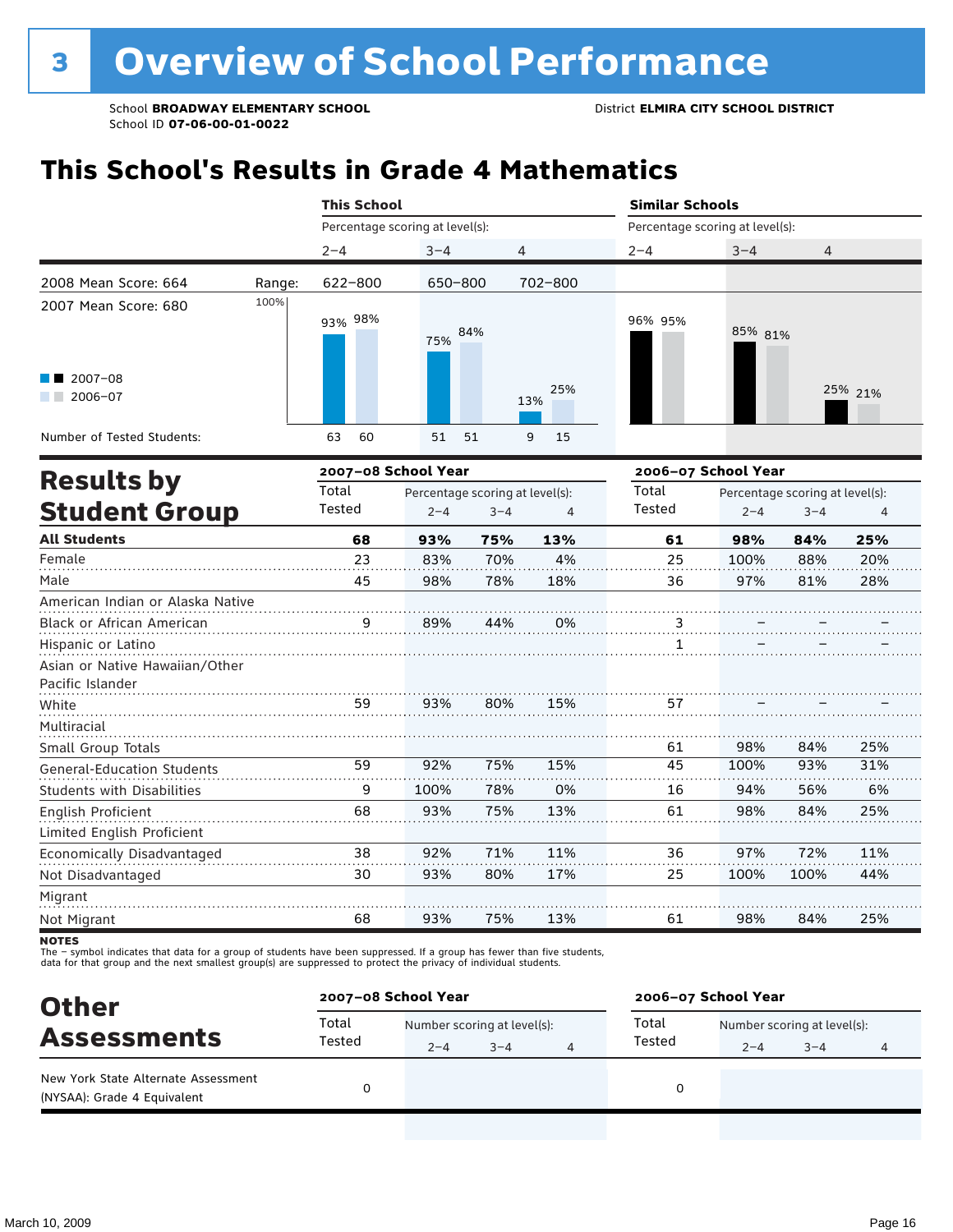### **This School's Results in Grade 4 Mathematics**

|                                   |        | <b>This School</b>              |         |                                 |            | <b>Similar Schools</b>          |         |                                 |         |  |
|-----------------------------------|--------|---------------------------------|---------|---------------------------------|------------|---------------------------------|---------|---------------------------------|---------|--|
|                                   |        | Percentage scoring at level(s): |         |                                 |            | Percentage scoring at level(s): |         |                                 |         |  |
|                                   |        | $2 - 4$                         | $3 - 4$ | 4                               |            | $2 - 4$                         | $3 - 4$ | 4                               |         |  |
| 2008 Mean Score: 664              | Range: | 622-800                         | 650-800 |                                 | 702-800    |                                 |         |                                 |         |  |
| 2007 Mean Score: 680              | 100%   | 93% 98%                         | 75%     | 84%                             |            | 96% 95%                         | 85% 81% |                                 |         |  |
| $2007 - 08$<br>$2006 - 07$        |        |                                 |         |                                 | 25%<br>13% |                                 |         |                                 | 25% 21% |  |
| Number of Tested Students:        |        | 63<br>60                        | 51      | 51                              | 15<br>9    |                                 |         |                                 |         |  |
| <b>Results by</b>                 |        | 2007-08 School Year             |         |                                 |            | 2006-07 School Year             |         |                                 |         |  |
|                                   |        | Total                           |         | Percentage scoring at level(s): |            | Total                           |         | Percentage scoring at level(s): |         |  |
| <b>Student Group</b>              |        | Tested                          | $2 - 4$ | $3 - 4$                         | 4          | Tested                          | $2 - 4$ | $3 - 4$                         | 4       |  |
| <b>All Students</b>               |        | 68                              | 93%     | 75%                             | 13%        | 61                              | 98%     | 84%                             | 25%     |  |
| Female                            |        | 23                              | 83%     | 70%                             | 4%         | 25                              | 100%    | 88%                             | 20%     |  |
| Male                              |        | 45                              | 98%     | 78%                             | 18%        | 36                              | 97%     | 81%                             | 28%     |  |
| American Indian or Alaska Native  |        |                                 |         |                                 |            |                                 |         |                                 |         |  |
| Black or African American         |        |                                 | 89%     | 44%                             | 0%         | $\ddot{.}$                      |         |                                 |         |  |
| Hispanic or Latino                |        |                                 |         |                                 |            | 1                               |         |                                 |         |  |
| Asian or Native Hawaiian/Other    |        |                                 |         |                                 |            |                                 |         |                                 |         |  |
| Pacific Islander                  |        |                                 |         |                                 |            |                                 |         |                                 |         |  |
| White                             |        | 59                              | 93%     | 80%                             | 15%        | 57                              |         |                                 |         |  |
| Multiracial                       |        |                                 |         |                                 |            |                                 |         |                                 |         |  |
| Small Group Totals                |        |                                 |         |                                 |            | 61                              | 98%     | 84%                             | 25%     |  |
| <b>General-Education Students</b> |        | 59                              | 92%     | 75%                             | 15%        | 45                              | 100%    | 93%                             | 31%     |  |
| <b>Students with Disabilities</b> |        | 9                               | 100%    | 78%                             | 0%         | 16                              | 94%     | 56%                             | 6%      |  |
| English Proficient                |        | 68                              | 93%     | 75%                             | 13%        | 61                              | 98%     | 84%                             | 25%     |  |
| Limited English Proficient        |        |                                 |         |                                 |            |                                 |         |                                 |         |  |
| Economically Disadvantaged        |        | 38                              | 92%     | 71%                             | 11%        | 36                              | 97%     | 72%                             | 11%     |  |
| Not Disadvantaged                 |        | 30                              | 93%     | 80%                             | 17%        | 25                              | 100%    | 100%                            | 44%     |  |
| Migrant                           |        |                                 |         |                                 |            |                                 |         |                                 |         |  |
| Not Migrant                       |        | 68                              | 93%     | 75%                             | 13%        | 61                              | 98%     | 84%                             | 25%     |  |

**NOTES** 

| <b>Other</b>                                                       | 2007-08 School Year |                             |         |  | 2006-07 School Year |                             |         |  |  |  |
|--------------------------------------------------------------------|---------------------|-----------------------------|---------|--|---------------------|-----------------------------|---------|--|--|--|
|                                                                    | Total               | Number scoring at level(s): |         |  | Total               | Number scoring at level(s): |         |  |  |  |
| <b>Assessments</b>                                                 | Tested              | $2 - 4$                     | $3 - 4$ |  | Tested              | $2 - 4$                     | $3 - 4$ |  |  |  |
| New York State Alternate Assessment<br>(NYSAA): Grade 4 Equivalent |                     |                             |         |  |                     |                             |         |  |  |  |
|                                                                    |                     |                             |         |  |                     |                             |         |  |  |  |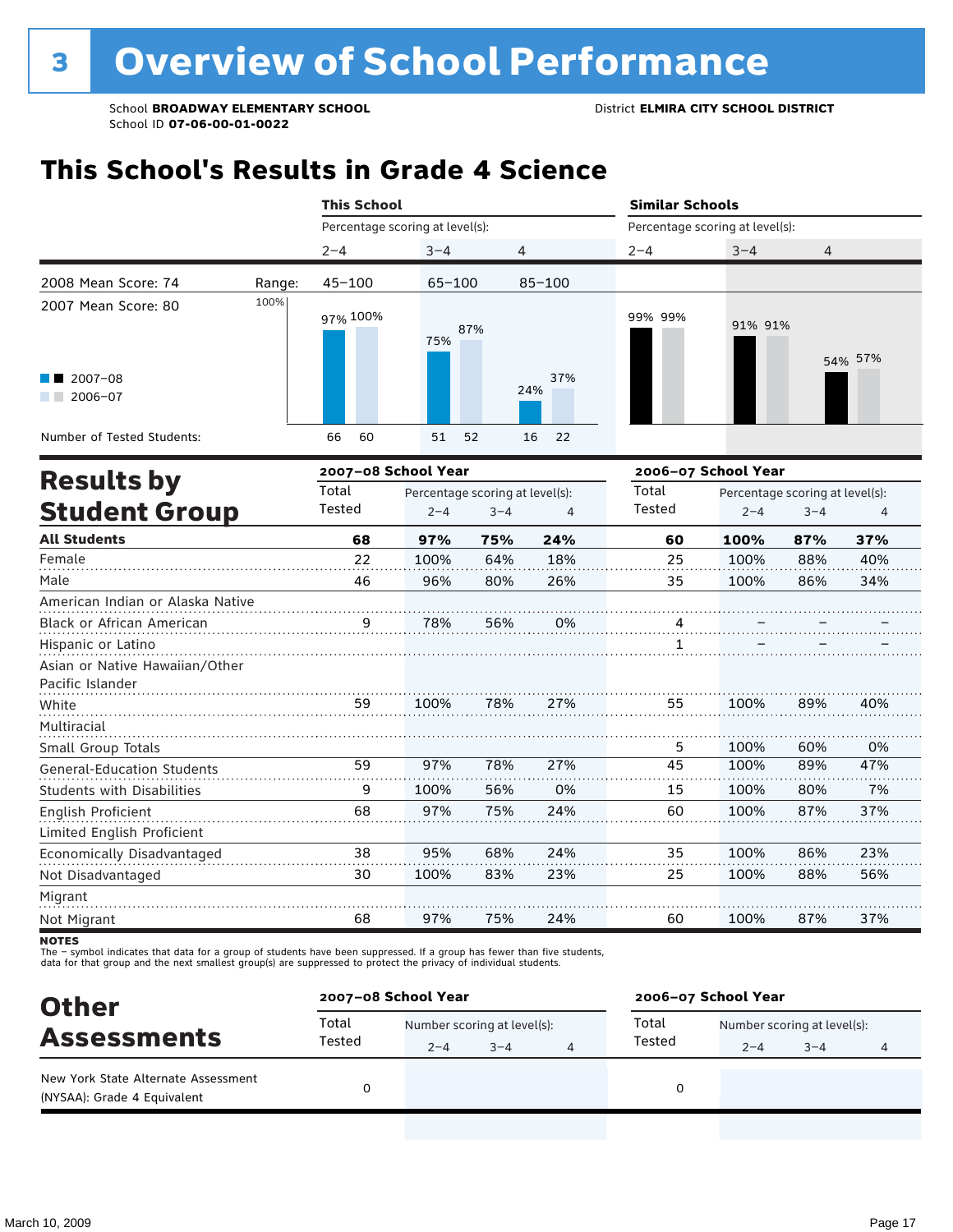### **This School's Results in Grade 4 Science**

|                                   |        | <b>This School</b>              |            |                                 |                | <b>Similar Schools</b>          |                     |                                 |                |  |
|-----------------------------------|--------|---------------------------------|------------|---------------------------------|----------------|---------------------------------|---------------------|---------------------------------|----------------|--|
|                                   |        | Percentage scoring at level(s): |            |                                 |                | Percentage scoring at level(s): |                     |                                 |                |  |
|                                   |        | $2 - 4$                         | $3 - 4$    | 4                               |                | $2 - 4$                         | $3 - 4$             | 4                               |                |  |
| 2008 Mean Score: 74               | Range: | $45 - 100$                      | $65 - 100$ |                                 | $85 - 100$     |                                 |                     |                                 |                |  |
| 2007 Mean Score: 80               | 100%   | 97% 100%                        | 75%        | 87%                             |                | 99% 99%                         | 91% 91%             |                                 | 54% 57%        |  |
| $2007 - 08$<br>2006-07            |        |                                 |            |                                 | 37%<br>24%     |                                 |                     |                                 |                |  |
| Number of Tested Students:        |        | 60<br>66                        | 51         | 52                              | 22<br>16       |                                 |                     |                                 |                |  |
| <b>Results by</b>                 |        | 2007-08 School Year             |            |                                 |                |                                 | 2006-07 School Year |                                 |                |  |
|                                   |        | Total                           |            | Percentage scoring at level(s): |                | Total                           |                     | Percentage scoring at level(s): |                |  |
| <b>Student Group</b>              |        | Tested                          | $2 - 4$    | $3 - 4$                         | $\overline{4}$ | Tested                          | $2 - 4$             | $3 - 4$                         | $\overline{4}$ |  |
| <b>All Students</b>               |        | 68                              | 97%        | 75%                             | 24%            | 60                              | 100%                | 87%                             | 37%            |  |
| Female                            |        | 22                              | 100%       | 64%                             | 18%            | 25                              | 100%                | 88%                             | 40%            |  |
| Male                              |        | 46                              | 96%        | 80%                             | 26%            | 35                              | 100%                | 86%                             | 34%            |  |
| American Indian or Alaska Native  |        |                                 |            |                                 |                |                                 |                     |                                 |                |  |
| Black or African American         |        | 9                               | 78%        | 56%                             | 0%             | 4                               |                     |                                 |                |  |
| Hispanic or Latino                |        |                                 |            |                                 |                | 1                               |                     |                                 |                |  |
| Asian or Native Hawaiian/Other    |        |                                 |            |                                 |                |                                 |                     |                                 |                |  |
| Pacific Islander                  |        |                                 |            |                                 |                |                                 |                     |                                 |                |  |
| White                             |        | 59                              | 100%       | 78%                             | 27%            | 55                              | 100%                | 89%                             | 40%            |  |
| Multiracial                       |        |                                 |            |                                 |                |                                 |                     |                                 |                |  |
| Small Group Totals                |        |                                 |            |                                 |                | 5                               | 100%                | 60%                             | 0%             |  |
| <b>General-Education Students</b> |        | 59                              | 97%        | 78%                             | 27%            | 45                              | 100%                | 89%                             | 47%            |  |
| Students with Disabilities        |        | 9                               | 100%       | 56%                             | 0%             | 15                              | 100%                | 80%                             | 7%             |  |
| English Proficient                |        | 68                              | 97%        | 75%                             | 24%            | 60                              | 100%                | 87%                             | 37%            |  |
| Limited English Proficient        |        |                                 |            |                                 |                |                                 |                     |                                 |                |  |
| Economically Disadvantaged        |        | 38                              | 95%        | 68%                             | 24%            | 35                              | 100%                | 86%                             | 23%            |  |
| Not Disadvantaged                 |        | 30                              | 100%       | 83%                             | 23%            | 25                              | 100%                | 88%                             | 56%            |  |
| Migrant                           |        |                                 |            |                                 |                |                                 |                     |                                 |                |  |
| Not Migrant                       |        | 68                              | 97%        | 75%                             | 24%            | 60                              | 100%                | 87%                             | 37%            |  |

**NOTES** 

| <b>Other</b>                                                       | 2007-08 School Year |                             |         |  | 2006-07 School Year |                             |         |  |  |
|--------------------------------------------------------------------|---------------------|-----------------------------|---------|--|---------------------|-----------------------------|---------|--|--|
|                                                                    | Total               | Number scoring at level(s): |         |  | Total               | Number scoring at level(s): |         |  |  |
| <b>Assessments</b>                                                 | Tested              | $2 - 4$                     | $3 - 4$ |  | Tested              | $2 - 4$                     | $3 - 4$ |  |  |
| New York State Alternate Assessment<br>(NYSAA): Grade 4 Equivalent |                     |                             |         |  | 0                   |                             |         |  |  |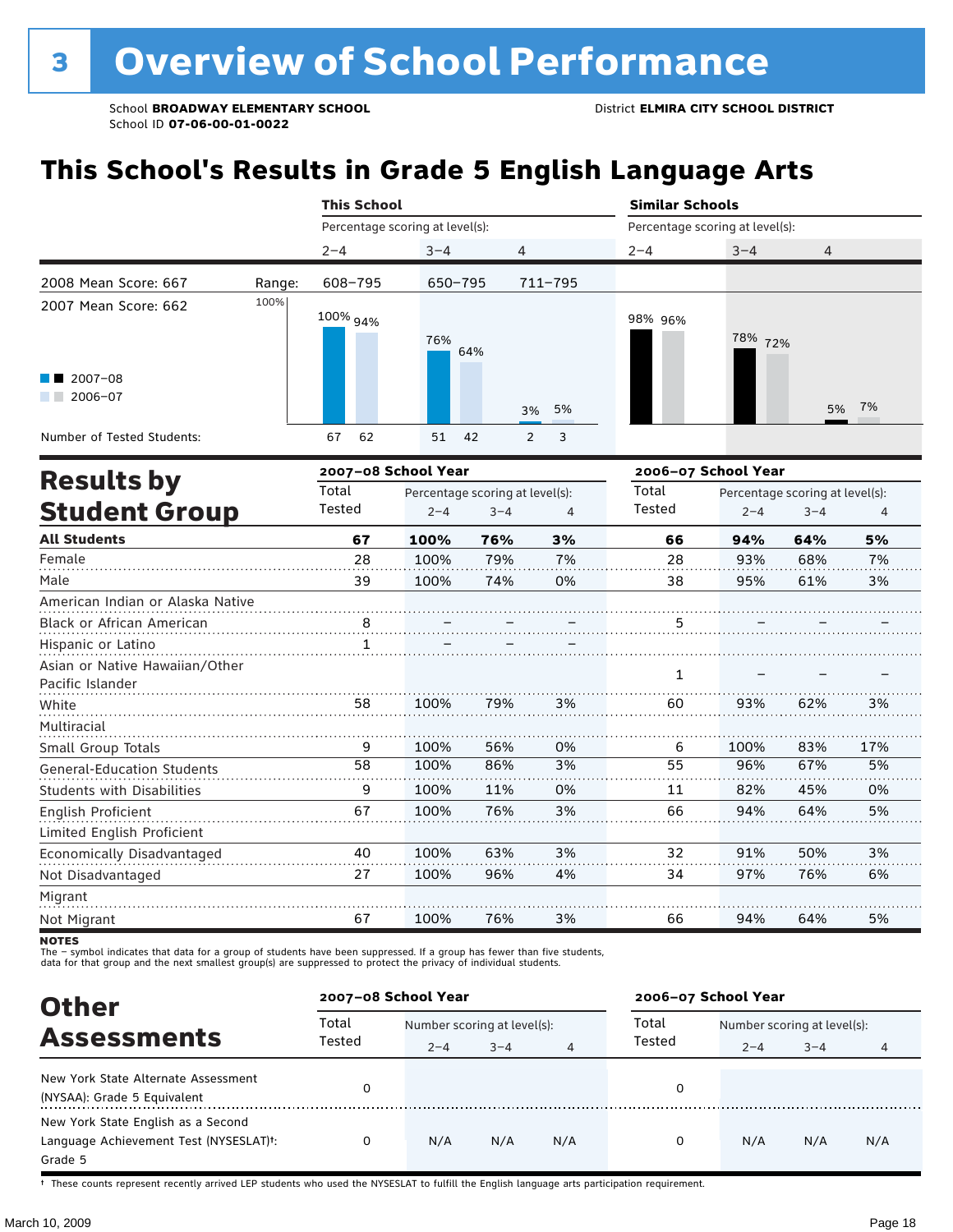### **This School's Results in Grade 5 English Language Arts**

|                                                    |        | <b>This School</b>              |                                 |         |                     | <b>Similar Schools</b>          |                     |                                 |     |
|----------------------------------------------------|--------|---------------------------------|---------------------------------|---------|---------------------|---------------------------------|---------------------|---------------------------------|-----|
|                                                    |        | Percentage scoring at level(s): |                                 |         |                     | Percentage scoring at level(s): |                     |                                 |     |
|                                                    |        | $2 - 4$                         | $3 - 4$                         |         | 4                   | $2 - 4$                         | $3 - 4$             | $\overline{4}$                  |     |
| 2008 Mean Score: 667                               | Range: | 608-795                         | 650-795                         |         | 711-795             |                                 |                     |                                 |     |
| 2007 Mean Score: 662                               | 100%   | 100% 94%                        | 76%                             | 64%     |                     | 98% 96%                         | 78% 72%             |                                 |     |
| $2007 - 08$<br>2006-07                             |        |                                 |                                 |         | 5%<br>3%            |                                 |                     | 5%                              | 7%  |
| Number of Tested Students:                         |        | 67<br>62                        | 51                              | 42      | 3<br>$\overline{2}$ |                                 |                     |                                 |     |
| <b>Results by</b>                                  |        | 2007-08 School Year             |                                 |         |                     |                                 | 2006-07 School Year |                                 |     |
|                                                    |        | Total                           | Percentage scoring at level(s): |         |                     | Total                           |                     | Percentage scoring at level(s): |     |
| <b>Student Group</b>                               |        | Tested                          | $2 - 4$                         | $3 - 4$ | $\overline{4}$      | Tested                          | $2 - 4$             | $3 - 4$                         | 4   |
| <b>All Students</b>                                |        | 67                              | 100%                            | 76%     | 3%                  | 66                              | 94%                 | 64%                             | 5%  |
| Female                                             |        | 28                              | 100%                            | 79%     | 7%                  | 28                              | 93%                 | 68%                             | 7%  |
| Male                                               |        | 39                              | 100%                            | 74%     | 0%                  | 38                              | 95%                 | 61%                             | 3%  |
| American Indian or Alaska Native                   |        |                                 |                                 |         |                     |                                 |                     |                                 |     |
| <b>Black or African American</b>                   |        | $\frac{8}{10}$                  |                                 |         |                     | 5                               |                     |                                 |     |
| Hispanic or Latino                                 |        | 1                               |                                 |         |                     |                                 |                     |                                 |     |
| Asian or Native Hawaiian/Other<br>Pacific Islander |        |                                 |                                 |         |                     | 1                               |                     |                                 |     |
| White                                              |        | 58                              | 100%                            | 79%     | 3%                  | 60                              | 93%                 | 62%                             | 3%  |
| Multiracial                                        |        |                                 |                                 |         |                     |                                 |                     |                                 |     |
| Small Group Totals                                 |        | 9                               | 100%                            | 56%     | 0%                  | 6                               | 100%                | 83%                             | 17% |
| <b>General-Education Students</b>                  |        | 58                              | 100%                            | 86%     | 3%                  | 55                              | 96%                 | 67%                             | 5%  |
| <b>Students with Disabilities</b>                  |        | 9                               | 100%                            | 11%     | 0%                  | 11                              | 82%                 | 45%                             | 0%  |
| English Proficient                                 |        | 67                              | 100%                            | 76%     | 3%                  | 66                              | 94%                 | 64%                             | 5%  |
| Limited English Proficient                         |        |                                 |                                 |         |                     |                                 |                     |                                 |     |
| Economically Disadvantaged                         |        | 40                              | 100%                            | 63%     | 3%                  | 32                              | 91%                 | 50%                             | 3%  |
| Not Disadvantaged                                  |        | 27                              | 100%                            | 96%     | 4%                  | 34                              | 97%                 | 76%                             | 6%  |
| Migrant                                            |        |                                 |                                 |         |                     |                                 |                     |                                 |     |
| Not Migrant                                        |        | 67                              | 100%                            | 76%     | 3%                  | 66                              | 94%                 | 64%                             | 5%  |

**NOTES** 

The – symbol indicates that data for a group of students have been suppressed. If a group has fewer than five students,<br>data for that group and the next smallest group(s) are suppressed to protect the privacy of individual

| <b>Other</b>                                                                            |                 | 2007-08 School Year                    |         |     | 2006-07 School Year |                                        |         |     |  |
|-----------------------------------------------------------------------------------------|-----------------|----------------------------------------|---------|-----|---------------------|----------------------------------------|---------|-----|--|
| <b>Assessments</b>                                                                      | Total<br>Tested | Number scoring at level(s):<br>$2 - 4$ | $3 - 4$ |     | Total<br>Tested     | Number scoring at level(s):<br>$2 - 4$ | $3 - 4$ |     |  |
| New York State Alternate Assessment<br>(NYSAA): Grade 5 Equivalent                      |                 |                                        |         |     | 0                   |                                        |         |     |  |
| New York State English as a Second<br>Language Achievement Test (NYSESLAT)t:<br>Grade 5 |                 | N/A                                    | N/A     | N/A | 0                   | N/A                                    | N/A     | N/A |  |

† These counts represent recently arrived LEP students who used the NYSESLAT to fulfill the English language arts participation requirement.